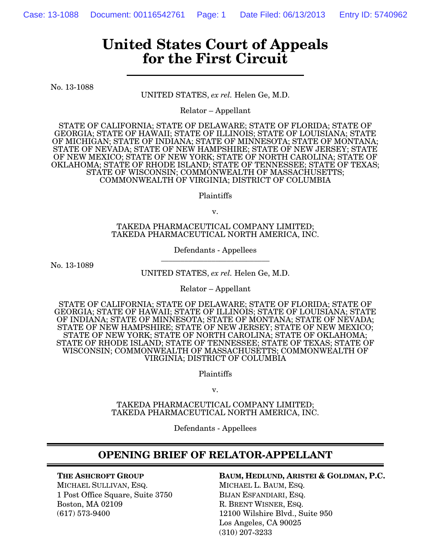# **United States Court of Appeals for the First Circuit**

No. 13-1088

UNITED STATES, *ex rel.* Helen Ge, M.D.

Relator – Appellant

STATE OF CALIFORNIA; STATE OF DELAWARE; STATE OF FLORIDA; STATE OF GEORGIA; STATE OF HAWAII; STATE OF ILLINOIS; STATE OF LOUISIANA; STATE OF MICHIGAN; STATE OF INDIANA; STATE OF MINNESOTA; STATE OF MONTANA; STATE OF NEVADA; STATE OF NEW HAMPSHIRE; STATE OF NEW JERSEY; STATE OF NEW MEXICO; STATE OF NEW YORK; STATE OF NORTH CAROLINA; STATE OF OKLAHOMA; STATE OF RHODE ISLAND; STATE OF TENNESSEE; STATE OF TEXAS; STATE OF WISCONSIN; COMMONWEALTH OF MASSACHUSETTS; COMMONWEALTH OF VIRGINIA; DISTRICT OF COLUMBIA

Plaintiffs

v.

TAKEDA PHARMACEUTICAL COMPANY LIMITED; TAKEDA PHARMACEUTICAL NORTH AMERICA, INC.

> Defendants - Appellees **\_\_\_\_\_\_\_\_\_\_\_\_\_\_\_\_\_\_\_\_\_\_\_\_\_\_\_\_**

No. 13-1089

UNITED STATES, *ex rel.* Helen Ge, M.D.

Relator – Appellant

STATE OF CALIFORNIA; STATE OF DELAWARE; STATE OF FLORIDA; STATE OF GEORGIA; STATE OF HAWAII; STATE OF ILLINOIS; STATE OF LOUISIANA; STATE OF INDIANA; STATE OF MINNESOTA; STATE OF MONTANA; STATE OF NEVADA; STATE OF NEW HAMPSHIRE; STATE OF NEW JERSEY; STATE OF NEW MEXICO; STATE OF NEW YORK; STATE OF NORTH CAROLINA; STATE OF OKLAHOMA; STATE OF RHODE ISLAND; STATE OF TENNESSEE; STATE OF TEXAS; STATE OF WISCONSIN; COMMONWEALTH OF MASSACHUSETTS; COMMONWEALTH OF VIRGINIA; DISTRICT OF COLUMBIA

Plaintiffs

v.

TAKEDA PHARMACEUTICAL COMPANY LIMITED; TAKEDA PHARMACEUTICAL NORTH AMERICA, INC.

Defendants - Appellees

## **OPENING BRIEF OF RELATOR-APPELLANT**

**THE ASHCROFT GROUP**

MICHAEL SULLIVAN, ESQ. 1 Post Office Square, Suite 3750 Boston, MA 02109 (617) 573-9400

#### **BAUM, HEDLUND, ARISTEI & GOLDMAN, P.C.** MICHAEL L. BAUM, ESQ. BIJAN ESFANDIARI, ESQ. R. BRENT WISNER, ESQ. 12100 Wilshire Blvd., Suite 950 Los Angeles, CA 90025 (310) 207-3233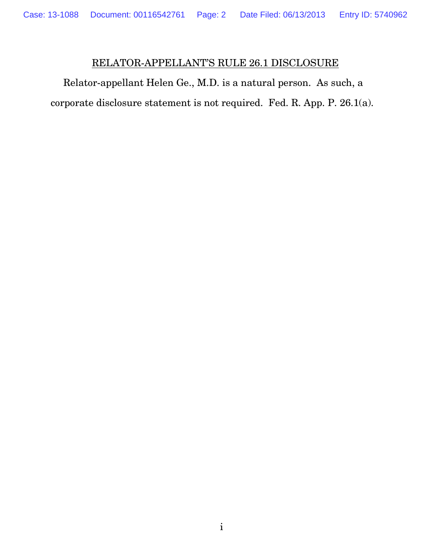## RELATOR-APPELLANT'S RULE 26.1 DISCLOSURE

Relator-appellant Helen Ge., M.D. is a natural person. As such, a corporate disclosure statement is not required. Fed. R. App. P. 26.1(a).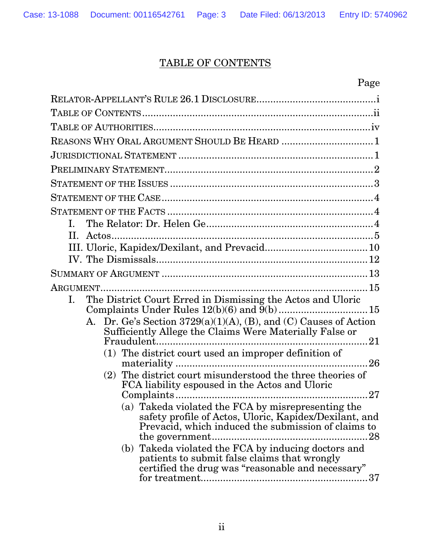## TABLE OF CONTENTS

| Page                                                                                                                                                                                          |
|-----------------------------------------------------------------------------------------------------------------------------------------------------------------------------------------------|
|                                                                                                                                                                                               |
|                                                                                                                                                                                               |
|                                                                                                                                                                                               |
| REASONS WHY ORAL ARGUMENT SHOULD BE HEARD  1                                                                                                                                                  |
|                                                                                                                                                                                               |
|                                                                                                                                                                                               |
|                                                                                                                                                                                               |
|                                                                                                                                                                                               |
|                                                                                                                                                                                               |
| $\mathbf{L}$                                                                                                                                                                                  |
|                                                                                                                                                                                               |
|                                                                                                                                                                                               |
|                                                                                                                                                                                               |
|                                                                                                                                                                                               |
| The District Court Erred in Dismissing the Actos and Uloric<br>L.                                                                                                                             |
|                                                                                                                                                                                               |
| A. Dr. Ge's Section 3729(a)(1)(A), (B), and (C) Causes of Action<br>Sufficiently Allege the Claims Were Materially False or                                                                   |
| Fraudulent                                                                                                                                                                                    |
| (1) The district court used an improper definition of                                                                                                                                         |
| (2) The district court misunderstood the three theories of<br>FCA liability espoused in the Actos and Uloric<br>. 27                                                                          |
| (a) Takeda violated the FCA by misrepresenting the<br>safety profile of Actos, Uloric, Kapidex/Dexilant, and<br>Prevacid, which induced the submission of claims to<br>.28<br>the government. |
| (b) Takeda violated the FCA by inducing doctors and<br>patients to submit false claims that wrongly<br>certified the drug was "reasonable and necessary"                                      |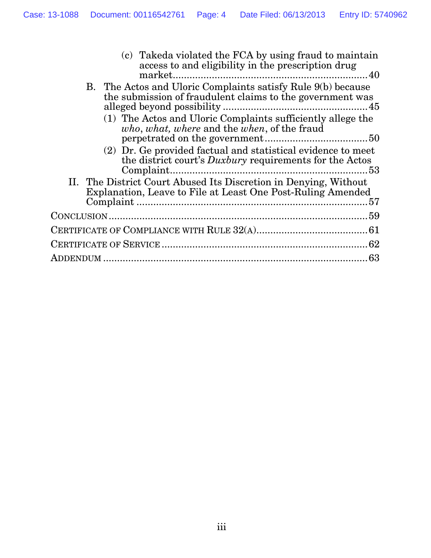|  | (c) Takeda violated the FCA by using fraud to maintain<br>access to and eligibility in the prescription drug                    |  |
|--|---------------------------------------------------------------------------------------------------------------------------------|--|
|  | B. The Actos and Uloric Complaints satisfy Rule 9(b) because<br>the submission of fraudulent claims to the government was       |  |
|  | (1) The Actos and Uloric Complaints sufficiently allege the<br>who, what, where and the when, of the fraud                      |  |
|  | (2) Dr. Ge provided factual and statistical evidence to meet<br>the district court's <i>Duxbury</i> requirements for the Actos  |  |
|  | II. The District Court Abused Its Discretion in Denying, Without<br>Explanation, Leave to File at Least One Post-Ruling Amended |  |
|  |                                                                                                                                 |  |
|  |                                                                                                                                 |  |
|  |                                                                                                                                 |  |
|  |                                                                                                                                 |  |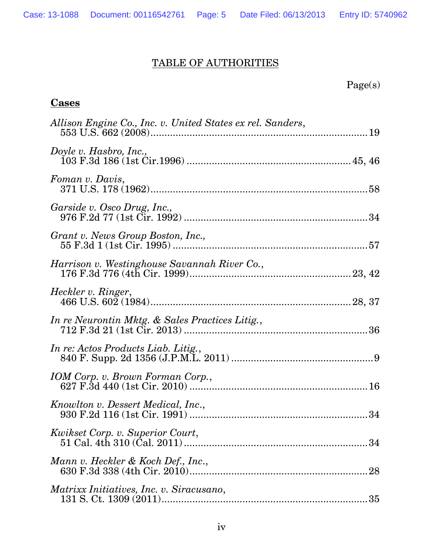## TABLE OF AUTHORITIES

## Page(s)

## **Cases**

| Allison Engine Co., Inc. v. United States ex rel. Sanders, |  |
|------------------------------------------------------------|--|
| Doyle v. Hasbro, Inc.,                                     |  |
| Foman v. Davis,                                            |  |
| Garside v. Osco Drug, Inc.,                                |  |
| Grant v. News Group Boston, Inc.,                          |  |
| Harrison v. Westinghouse Savannah River Co.,               |  |
| Heckler v. Ringer,                                         |  |
| In re Neurontin Mktg. & Sales Practices Litig.,            |  |
| In re: Actos Products Liab. Litig.,                        |  |
| IOM Corp. v. Brown Forman Corp.,                           |  |
| Knowlton v. Dessert Medical, Inc.,                         |  |
| Kwikset Corp. v. Superior Court,                           |  |
| Mann v. Heckler & Koch Def., Inc.,                         |  |
| <i>Matrixx Initiatives, Inc. v. Siracusano,</i>            |  |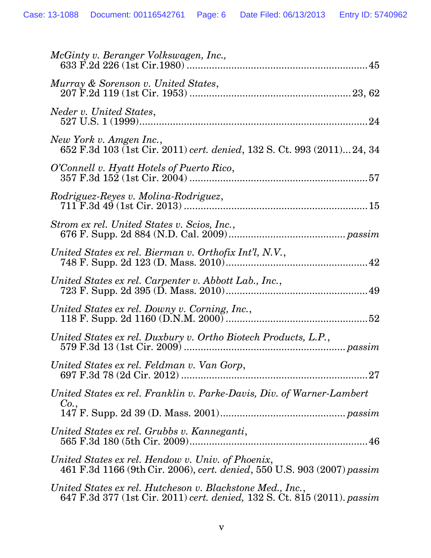| McGinty v. Beranger Volkswagen, Inc.,                                                                                                 |
|---------------------------------------------------------------------------------------------------------------------------------------|
| Murray & Sorenson v. United States,                                                                                                   |
| Neder v. United States,                                                                                                               |
| New York v. Amgen Inc.,<br>652 F.3d 103 (1st Cir. 2011) cert. denied, 132 S. Ct. 993 (2011) 24, 34                                    |
| O'Connell v. Hyatt Hotels of Puerto Rico,                                                                                             |
|                                                                                                                                       |
| Strom ex rel. United States v. Scios, Inc.,                                                                                           |
| United States ex rel. Bierman v. Orthofix Int'l, N.V.,                                                                                |
| United States ex rel. Carpenter v. Abbott Lab., Inc.,                                                                                 |
| United States ex rel. Downy v. Corning, Inc.,                                                                                         |
| United States ex rel. Duxbury v. Ortho Biotech Products, L.P.,                                                                        |
| United States ex rel. Feldman v. Van Gorp,                                                                                            |
| United States ex rel. Franklin v. Parke-Davis, Div. of Warner-Lambert<br>Co.,                                                         |
| United States ex rel. Grubbs v. Kanneganti,                                                                                           |
| United States ex rel. Hendow v. Univ. of Phoenix,<br>461 F.3d 1166 (9th Cir. 2006), cert. denied, 550 U.S. 903 (2007) passim          |
| United States ex rel. Hutcheson v. Blackstone Med., Inc.,<br>647 F.3d 377 (1st Cir. 2011) cert. denied, 132 S. Ct. 815 (2011). passim |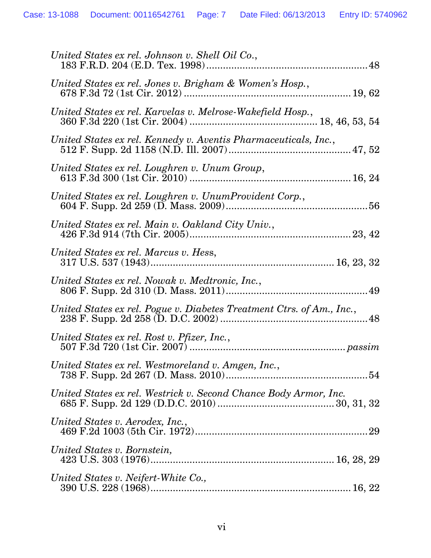| United States ex rel. Johnson v. Shell Oil Co.,                       |
|-----------------------------------------------------------------------|
| United States ex rel. Jones v. Brigham & Women's Hosp.,               |
| United States ex rel. Karvelas v. Melrose-Wakefield Hosp.,            |
| United States ex rel. Kennedy v. Aventis Pharmaceuticals, Inc.,       |
| United States ex rel. Loughren v. Unum Group,                         |
| United States ex rel. Loughren v. UnumProvident Corp.,                |
| United States ex rel. Main v. Oakland City Univ.,                     |
| United States ex rel. Marcus v. Hess,                                 |
| United States ex rel. Nowak v. Medtronic, Inc.,                       |
| United States ex rel. Pogue v. Diabetes Treatment Ctrs. of Am., Inc., |
| United States ex rel. Rost v. Pfizer, Inc.,                           |
| United States ex rel. Westmoreland v. Amgen, Inc.,                    |
| United States ex rel. Westrick v. Second Chance Body Armor, Inc.      |
| United States v. Aerodex, Inc.,                                       |
| United States v. Bornstein,                                           |
| United States v. Neifert-White Co.,                                   |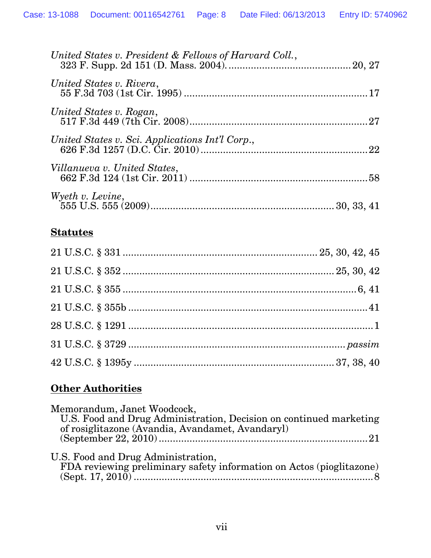| United States v. President & Fellows of Harvard Coll., |  |
|--------------------------------------------------------|--|
| United States v. Rivera,                               |  |
| United States v. Rogan,                                |  |
| United States v. Sci. Applications Int'l Corp.,        |  |
| Villanueva v. United States,                           |  |
| Wyeth v. Levine,                                       |  |

## **Statutes**

## **Other Authorities**

| Memorandum, Janet Woodcock,                                                                                |
|------------------------------------------------------------------------------------------------------------|
| U.S. Food and Drug Administration, Decision on continued marketing                                         |
| of rosiglitazone (Avandia, Avandamet, Avandaryl)                                                           |
|                                                                                                            |
| U.S. Food and Drug Administration,<br>FDA reviewing preliminary safety information on Actos (pioglitazone) |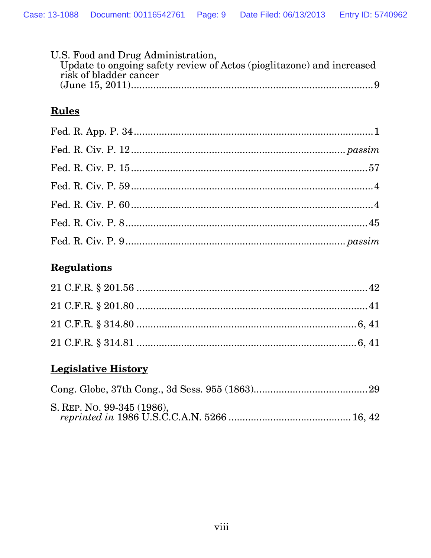| U.S. Food and Drug Administration,                                    |  |
|-----------------------------------------------------------------------|--|
| Update to ongoing safety review of Actos (pioglitazone) and increased |  |
| risk of bladder cancer                                                |  |
|                                                                       |  |

# **Rules**

# **Regulations**

# **Legislative History**

| S. REP. No. 99-345 (1986), |  |
|----------------------------|--|
|                            |  |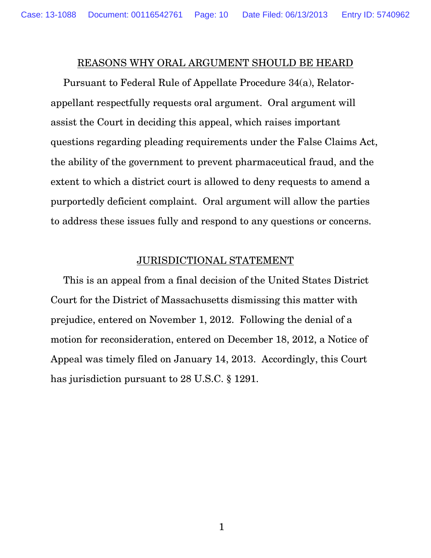## REASONS WHY ORAL ARGUMENT SHOULD BE HEARD

Pursuant to Federal Rule of Appellate Procedure 34(a), Relatorappellant respectfully requests oral argument. Oral argument will assist the Court in deciding this appeal, which raises important questions regarding pleading requirements under the False Claims Act, the ability of the government to prevent pharmaceutical fraud, and the extent to which a district court is allowed to deny requests to amend a purportedly deficient complaint. Oral argument will allow the parties to address these issues fully and respond to any questions or concerns.

### JURISDICTIONAL STATEMENT

This is an appeal from a final decision of the United States District Court for the District of Massachusetts dismissing this matter with prejudice, entered on November 1, 2012. Following the denial of a motion for reconsideration, entered on December 18, 2012, a Notice of Appeal was timely filed on January 14, 2013. Accordingly, this Court has jurisdiction pursuant to 28 U.S.C. § 1291.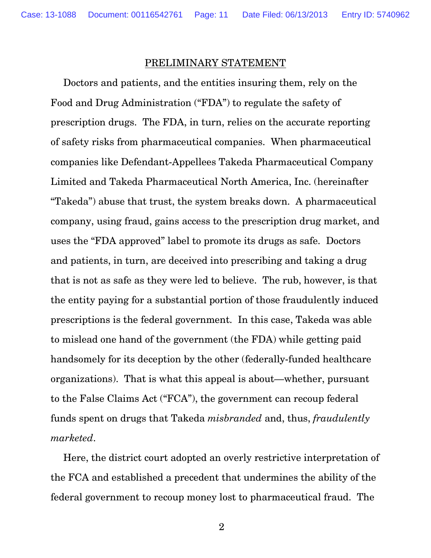#### PRELIMINARY STATEMENT

Doctors and patients, and the entities insuring them, rely on the Food and Drug Administration ("FDA") to regulate the safety of prescription drugs. The FDA, in turn, relies on the accurate reporting of safety risks from pharmaceutical companies. When pharmaceutical companies like Defendant-Appellees Takeda Pharmaceutical Company Limited and Takeda Pharmaceutical North America, Inc. (hereinafter "Takeda") abuse that trust, the system breaks down. A pharmaceutical company, using fraud, gains access to the prescription drug market, and uses the "FDA approved" label to promote its drugs as safe. Doctors and patients, in turn, are deceived into prescribing and taking a drug that is not as safe as they were led to believe. The rub, however, is that the entity paying for a substantial portion of those fraudulently induced prescriptions is the federal government. In this case, Takeda was able to mislead one hand of the government (the FDA) while getting paid handsomely for its deception by the other (federally-funded healthcare organizations). That is what this appeal is about—whether, pursuant to the False Claims Act ("FCA"), the government can recoup federal funds spent on drugs that Takeda *misbranded* and, thus, *fraudulently marketed*.

Here, the district court adopted an overly restrictive interpretation of the FCA and established a precedent that undermines the ability of the federal government to recoup money lost to pharmaceutical fraud. The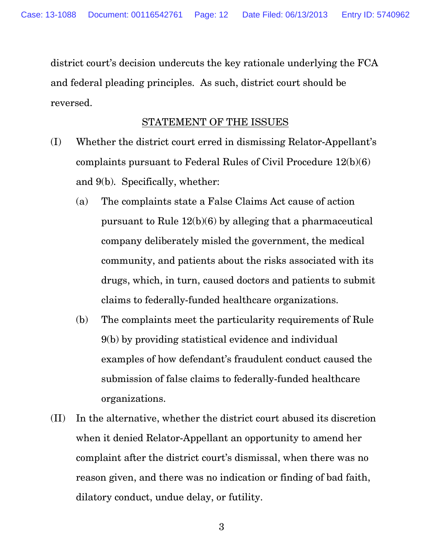district court's decision undercuts the key rationale underlying the FCA and federal pleading principles. As such, district court should be reversed.

## STATEMENT OF THE ISSUES

- (I) Whether the district court erred in dismissing Relator-Appellant's complaints pursuant to Federal Rules of Civil Procedure 12(b)(6) and 9(b). Specifically, whether:
	- (a) The complaints state a False Claims Act cause of action pursuant to Rule 12(b)(6) by alleging that a pharmaceutical company deliberately misled the government, the medical community, and patients about the risks associated with its drugs, which, in turn, caused doctors and patients to submit claims to federally-funded healthcare organizations.
	- (b) The complaints meet the particularity requirements of Rule 9(b) by providing statistical evidence and individual examples of how defendant's fraudulent conduct caused the submission of false claims to federally-funded healthcare organizations.
- (II) In the alternative, whether the district court abused its discretion when it denied Relator-Appellant an opportunity to amend her complaint after the district court's dismissal, when there was no reason given, and there was no indication or finding of bad faith, dilatory conduct, undue delay, or futility.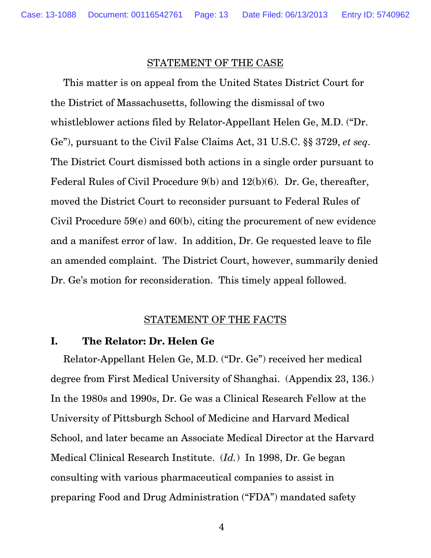### STATEMENT OF THE CASE

This matter is on appeal from the United States District Court for the District of Massachusetts, following the dismissal of two whistleblower actions filed by Relator-Appellant Helen Ge, M.D. ("Dr. Ge"), pursuant to the Civil False Claims Act, 31 U.S.C. §§ 3729, *et seq*. The District Court dismissed both actions in a single order pursuant to Federal Rules of Civil Procedure 9(b) and 12(b)(6). Dr. Ge, thereafter, moved the District Court to reconsider pursuant to Federal Rules of Civil Procedure 59(e) and 60(b), citing the procurement of new evidence and a manifest error of law. In addition, Dr. Ge requested leave to file an amended complaint. The District Court, however, summarily denied Dr. Ge's motion for reconsideration. This timely appeal followed.

### STATEMENT OF THE FACTS

### **I. The Relator: Dr. Helen Ge**

Relator-Appellant Helen Ge, M.D. ("Dr. Ge") received her medical degree from First Medical University of Shanghai. (Appendix 23, 136.) In the 1980s and 1990s, Dr. Ge was a Clinical Research Fellow at the University of Pittsburgh School of Medicine and Harvard Medical School, and later became an Associate Medical Director at the Harvard Medical Clinical Research Institute. (*Id.*) In 1998, Dr. Ge began consulting with various pharmaceutical companies to assist in preparing Food and Drug Administration ("FDA") mandated safety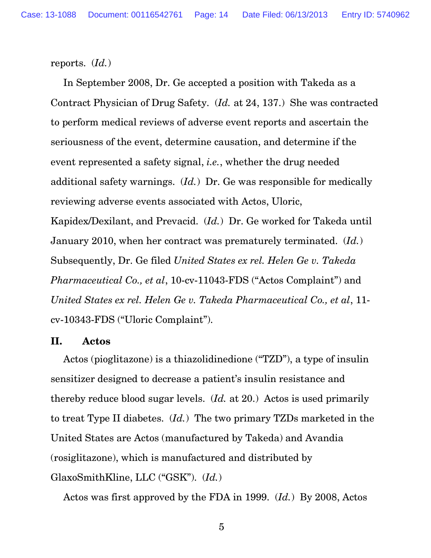reports. (*Id.*)

In September 2008, Dr. Ge accepted a position with Takeda as a Contract Physician of Drug Safety. (*Id.* at 24, 137.) She was contracted to perform medical reviews of adverse event reports and ascertain the seriousness of the event, determine causation, and determine if the event represented a safety signal, *i.e.*, whether the drug needed additional safety warnings. (*Id.*) Dr. Ge was responsible for medically reviewing adverse events associated with Actos, Uloric, Kapidex/Dexilant, and Prevacid. (*Id.*) Dr. Ge worked for Takeda until January 2010, when her contract was prematurely terminated. (*Id.*) Subsequently, Dr. Ge filed *United States ex rel. Helen Ge v. Takeda Pharmaceutical Co., et al*, 10-cv-11043-FDS ("Actos Complaint") and *United States ex rel. Helen Ge v. Takeda Pharmaceutical Co., et al*, 11 cv-10343-FDS ("Uloric Complaint").

### **II. Actos**

Actos (pioglitazone) is a thiazolidinedione ("TZD"), a type of insulin sensitizer designed to decrease a patient's insulin resistance and thereby reduce blood sugar levels. (*Id.* at 20.) Actos is used primarily to treat Type II diabetes. (*Id.*) The two primary TZDs marketed in the United States are Actos (manufactured by Takeda) and Avandia (rosiglitazone), which is manufactured and distributed by GlaxoSmithKline, LLC ("GSK"). (*Id.*)

Actos was first approved by the FDA in 1999. (*Id.*) By 2008, Actos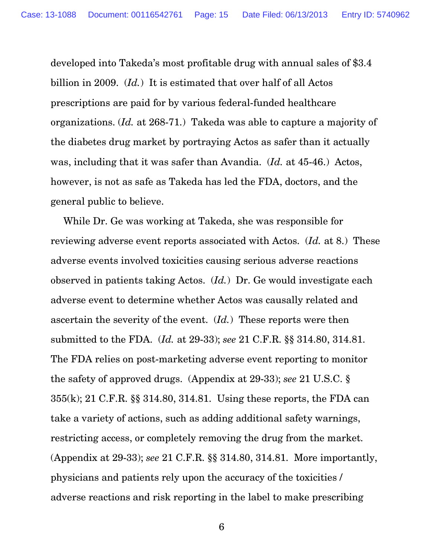developed into Takeda's most profitable drug with annual sales of \$3.4 billion in 2009. (*Id.*) It is estimated that over half of all Actos prescriptions are paid for by various federal-funded healthcare organizations. (*Id.* at 268-71.) Takeda was able to capture a majority of the diabetes drug market by portraying Actos as safer than it actually was, including that it was safer than Avandia. (*Id.* at 45-46.) Actos, however, is not as safe as Takeda has led the FDA, doctors, and the general public to believe.

While Dr. Ge was working at Takeda, she was responsible for reviewing adverse event reports associated with Actos. (*Id.* at 8.) These adverse events involved toxicities causing serious adverse reactions observed in patients taking Actos. (*Id.*) Dr. Ge would investigate each adverse event to determine whether Actos was causally related and ascertain the severity of the event. (*Id.*) These reports were then submitted to the FDA. (*Id.* at 29-33); *see* 21 C.F.R. §§ 314.80, 314.81. The FDA relies on post-marketing adverse event reporting to monitor the safety of approved drugs. (Appendix at 29-33); *see* 21 U.S.C. § 355(k); 21 C.F.R. §§ 314.80, 314.81. Using these reports, the FDA can take a variety of actions, such as adding additional safety warnings, restricting access, or completely removing the drug from the market. (Appendix at 29-33); *see* 21 C.F.R. §§ 314.80, 314.81. More importantly, physicians and patients rely upon the accuracy of the toxicities / adverse reactions and risk reporting in the label to make prescribing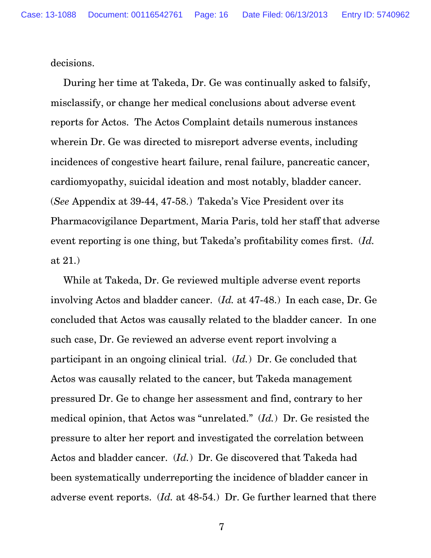decisions.

During her time at Takeda, Dr. Ge was continually asked to falsify, misclassify, or change her medical conclusions about adverse event reports for Actos. The Actos Complaint details numerous instances wherein Dr. Ge was directed to misreport adverse events, including incidences of congestive heart failure, renal failure, pancreatic cancer, cardiomyopathy, suicidal ideation and most notably, bladder cancer. (*See* Appendix at 39-44, 47-58.)Takeda's Vice President over its Pharmacovigilance Department, Maria Paris, told her staff that adverse event reporting is one thing, but Takeda's profitability comes first. (*Id.* at 21.)

While at Takeda, Dr. Ge reviewed multiple adverse event reports involving Actos and bladder cancer. (*Id.* at 47-48.) In each case, Dr. Ge concluded that Actos was causally related to the bladder cancer. In one such case, Dr. Ge reviewed an adverse event report involving a participant in an ongoing clinical trial. (*Id.*) Dr. Ge concluded that Actos was causally related to the cancer, but Takeda management pressured Dr. Ge to change her assessment and find, contrary to her medical opinion, that Actos was "unrelated." (*Id.*) Dr. Ge resisted the pressure to alter her report and investigated the correlation between Actos and bladder cancer. (*Id.*) Dr. Ge discovered that Takeda had been systematically underreporting the incidence of bladder cancer in adverse event reports. (*Id.* at 48-54.) Dr. Ge further learned that there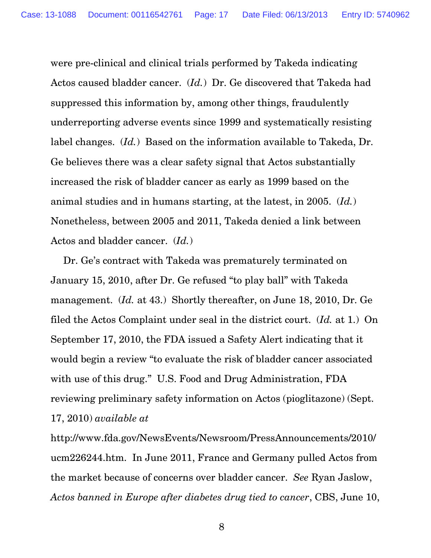were pre-clinical and clinical trials performed by Takeda indicating Actos caused bladder cancer. (*Id.*) Dr. Ge discovered that Takeda had suppressed this information by, among other things, fraudulently underreporting adverse events since 1999 and systematically resisting label changes. (*Id.*) Based on the information available to Takeda, Dr. Ge believes there was a clear safety signal that Actos substantially increased the risk of bladder cancer as early as 1999 based on the animal studies and in humans starting, at the latest, in 2005. (*Id.*) Nonetheless, between 2005 and 2011, Takeda denied a link between Actos and bladder cancer. (*Id.*)

Dr. Ge's contract with Takeda was prematurely terminated on January 15, 2010, after Dr. Ge refused "to play ball" with Takeda management. (*Id.* at 43.) Shortly thereafter, on June 18, 2010, Dr. Ge filed the Actos Complaint under seal in the district court. (*Id.* at 1.) On September 17, 2010, the FDA issued a Safety Alert indicating that it would begin a review "to evaluate the risk of bladder cancer associated with use of this drug." U.S. Food and Drug Administration, FDA reviewing preliminary safety information on Actos (pioglitazone) (Sept. 17, 2010) *available at*

http://www.fda.gov/NewsEvents/Newsroom/PressAnnouncements/2010/ ucm226244.htm. In June 2011, France and Germany pulled Actos from the market because of concerns over bladder cancer. *See* Ryan Jaslow, *Actos banned in Europe after diabetes drug tied to cancer*, CBS, June 10,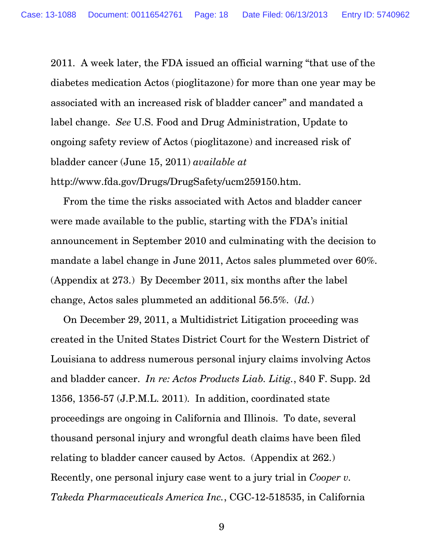2011. A week later, the FDA issued an official warning "that use of the diabetes medication Actos (pioglitazone) for more than one year may be associated with an increased risk of bladder cancer" and mandated a label change. *See* U.S. Food and Drug Administration, Update to ongoing safety review of Actos (pioglitazone) and increased risk of bladder cancer (June 15, 2011) *available at* http://www.fda.gov/Drugs/DrugSafety/ucm259150.htm.

From the time the risks associated with Actos and bladder cancer were made available to the public, starting with the FDA's initial announcement in September 2010 and culminating with the decision to mandate a label change in June 2011, Actos sales plummeted over 60%. (Appendix at 273.) By December 2011, six months after the label change, Actos sales plummeted an additional 56.5%. (*Id.*)

On December 29, 2011, a Multidistrict Litigation proceeding was created in the United States District Court for the Western District of Louisiana to address numerous personal injury claims involving Actos and bladder cancer. *In re: Actos Products Liab. Litig.*, 840 F. Supp. 2d 1356, 1356-57 (J.P.M.L. 2011). In addition, coordinated state proceedings are ongoing in California and Illinois. To date, several thousand personal injury and wrongful death claims have been filed relating to bladder cancer caused by Actos. (Appendix at 262.) Recently, one personal injury case went to a jury trial in *Cooper v. Takeda Pharmaceuticals America Inc.*, CGC-12-518535, in California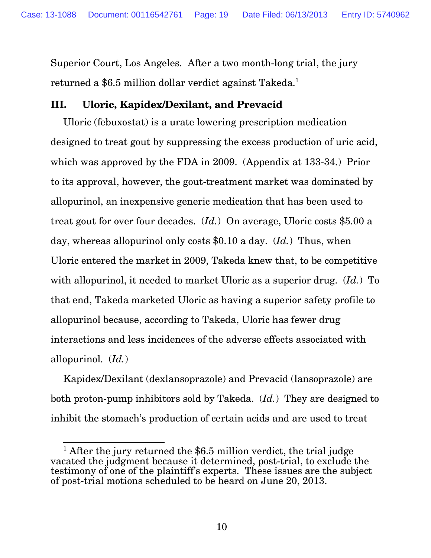Superior Court, Los Angeles. After a two month-long trial, the jury returned a \$6.5 million dollar verdict against Takeda.<sup>1</sup>

## **III. Uloric, Kapidex/Dexilant, and Prevacid**

Uloric (febuxostat) is a urate lowering prescription medication designed to treat gout by suppressing the excess production of uric acid, which was approved by the FDA in 2009. (Appendix at 133-34.) Prior to its approval, however, the gout-treatment market was dominated by allopurinol, an inexpensive generic medication that has been used to treat gout for over four decades. (*Id.*) On average, Uloric costs \$5.00 a day, whereas allopurinol only costs \$0.10 a day. (*Id.*) Thus, when Uloric entered the market in 2009, Takeda knew that, to be competitive with allopurinol, it needed to market Uloric as a superior drug. (*Id.*) To that end, Takeda marketed Uloric as having a superior safety profile to allopurinol because, according to Takeda, Uloric has fewer drug interactions and less incidences of the adverse effects associated with allopurinol. (*Id.*)

Kapidex/Dexilant (dexlansoprazole) and Prevacid (lansoprazole) are both proton-pump inhibitors sold by Takeda. (*Id.*) They are designed to inhibit the stomach's production of certain acids and are used to treat

 $\frac{1}{1}$  After the jury returned the \$6.5 million verdict, the trial judge vacated the judgment because it determined, post-trial, to exclude the testimony of one of the plaintiff's experts. These issues are the subject of post-trial motions scheduled to be heard on June 20, 2013.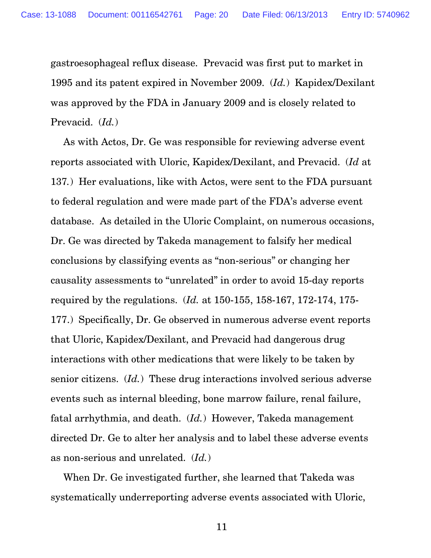gastroesophageal reflux disease. Prevacid was first put to market in 1995 and its patent expired in November 2009. (*Id.*) Kapidex/Dexilant was approved by the FDA in January 2009 and is closely related to Prevacid. (*Id.*)

As with Actos, Dr. Ge was responsible for reviewing adverse event reports associated with Uloric, Kapidex/Dexilant, and Prevacid. (*Id* at 137*.*) Her evaluations, like with Actos, were sent to the FDA pursuant to federal regulation and were made part of the FDA's adverse event database. As detailed in the Uloric Complaint, on numerous occasions, Dr. Ge was directed by Takeda management to falsify her medical conclusions by classifying events as "non-serious" or changing her causality assessments to "unrelated" in order to avoid 15-day reports required by the regulations. (*Id.* at 150-155, 158-167, 172-174, 175- 177.) Specifically, Dr. Ge observed in numerous adverse event reports that Uloric, Kapidex/Dexilant, and Prevacid had dangerous drug interactions with other medications that were likely to be taken by senior citizens. (*Id.*) These drug interactions involved serious adverse events such as internal bleeding, bone marrow failure, renal failure, fatal arrhythmia, and death. (*Id.*) However, Takeda management directed Dr. Ge to alter her analysis and to label these adverse events as non-serious and unrelated. (*Id.*)

When Dr. Ge investigated further, she learned that Takeda was systematically underreporting adverse events associated with Uloric,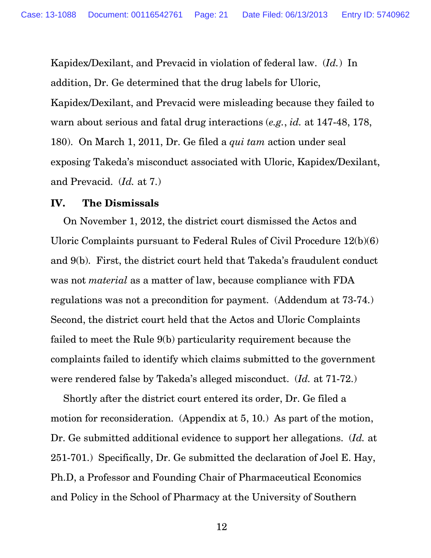Kapidex/Dexilant, and Prevacid in violation of federal law. (*Id.*) In addition, Dr. Ge determined that the drug labels for Uloric, Kapidex/Dexilant, and Prevacid were misleading because they failed to warn about serious and fatal drug interactions (*e.g.*, *id.* at 147-48, 178, 180). On March 1, 2011, Dr. Ge filed a *qui tam* action under seal exposing Takeda's misconduct associated with Uloric, Kapidex/Dexilant, and Prevacid. (*Id.* at 7.)

## **IV. The Dismissals**

 On November 1, 2012, the district court dismissed the Actos and Uloric Complaints pursuant to Federal Rules of Civil Procedure 12(b)(6) and 9(b). First, the district court held that Takeda's fraudulent conduct was not *material* as a matter of law, because compliance with FDA regulations was not a precondition for payment. (Addendum at 73-74.) Second, the district court held that the Actos and Uloric Complaints failed to meet the Rule 9(b) particularity requirement because the complaints failed to identify which claims submitted to the government were rendered false by Takeda's alleged misconduct. (*Id.* at 71-72.)

 Shortly after the district court entered its order, Dr. Ge filed a motion for reconsideration. (Appendix at 5, 10.) As part of the motion, Dr. Ge submitted additional evidence to support her allegations. (*Id.* at 251-701.) Specifically, Dr. Ge submitted the declaration of Joel E. Hay, Ph.D, a Professor and Founding Chair of Pharmaceutical Economics and Policy in the School of Pharmacy at the University of Southern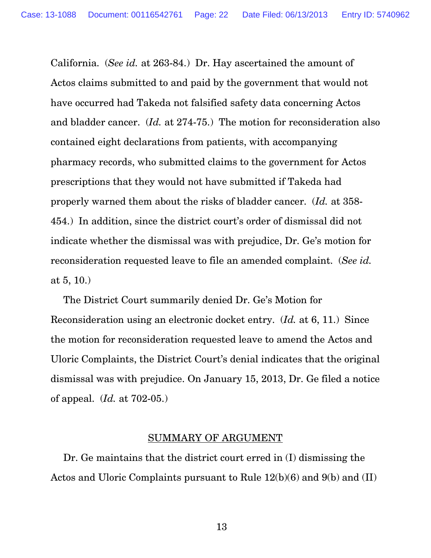California. (*See id.* at 263-84.) Dr. Hay ascertained the amount of Actos claims submitted to and paid by the government that would not have occurred had Takeda not falsified safety data concerning Actos and bladder cancer. (*Id.* at 274-75.) The motion for reconsideration also contained eight declarations from patients, with accompanying pharmacy records, who submitted claims to the government for Actos prescriptions that they would not have submitted if Takeda had properly warned them about the risks of bladder cancer. (*Id.* at 358- 454.) In addition, since the district court's order of dismissal did not indicate whether the dismissal was with prejudice, Dr. Ge's motion for reconsideration requested leave to file an amended complaint. (*See id.* at 5, 10.)

 The District Court summarily denied Dr. Ge's Motion for Reconsideration using an electronic docket entry. (*Id.* at 6, 11.) Since the motion for reconsideration requested leave to amend the Actos and Uloric Complaints, the District Court's denial indicates that the original dismissal was with prejudice. On January 15, 2013, Dr. Ge filed a notice of appeal. (*Id.* at 702-05.)

#### SUMMARY OF ARGUMENT

Dr. Ge maintains that the district court erred in (I) dismissing the Actos and Uloric Complaints pursuant to Rule 12(b)(6) and 9(b) and (II)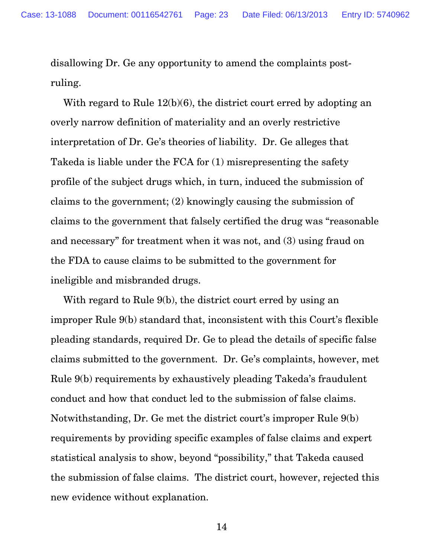disallowing Dr. Ge any opportunity to amend the complaints postruling.

With regard to Rule 12(b)(6), the district court erred by adopting an overly narrow definition of materiality and an overly restrictive interpretation of Dr. Ge's theories of liability. Dr. Ge alleges that Takeda is liable under the FCA for (1) misrepresenting the safety profile of the subject drugs which, in turn, induced the submission of claims to the government; (2) knowingly causing the submission of claims to the government that falsely certified the drug was "reasonable and necessary" for treatment when it was not, and (3) using fraud on the FDA to cause claims to be submitted to the government for ineligible and misbranded drugs.

With regard to Rule 9(b), the district court erred by using an improper Rule 9(b) standard that, inconsistent with this Court's flexible pleading standards, required Dr. Ge to plead the details of specific false claims submitted to the government. Dr. Ge's complaints, however, met Rule 9(b) requirements by exhaustively pleading Takeda's fraudulent conduct and how that conduct led to the submission of false claims. Notwithstanding, Dr. Ge met the district court's improper Rule 9(b) requirements by providing specific examples of false claims and expert statistical analysis to show, beyond "possibility," that Takeda caused the submission of false claims. The district court, however, rejected this new evidence without explanation.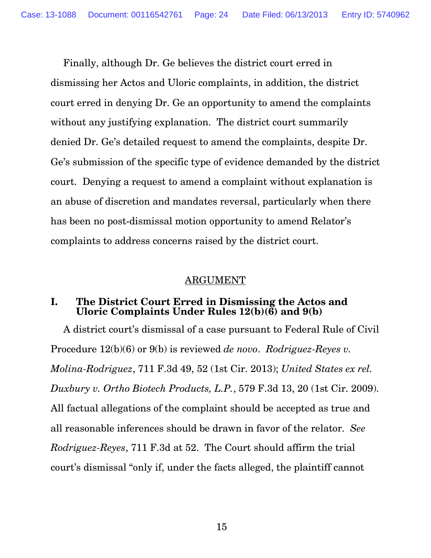Finally, although Dr. Ge believes the district court erred in dismissing her Actos and Uloric complaints, in addition, the district court erred in denying Dr. Ge an opportunity to amend the complaints without any justifying explanation. The district court summarily denied Dr. Ge's detailed request to amend the complaints, despite Dr. Ge's submission of the specific type of evidence demanded by the district court. Denying a request to amend a complaint without explanation is an abuse of discretion and mandates reversal, particularly when there has been no post-dismissal motion opportunity to amend Relator's complaints to address concerns raised by the district court.

## ARGUMENT

## **I. The District Court Erred in Dismissing the Actos and Uloric Complaints Under Rules 12(b)(6) and 9(b)**

A district court's dismissal of a case pursuant to Federal Rule of Civil Procedure 12(b)(6) or 9(b) is reviewed *de novo*. *Rodriguez-Reyes v. Molina-Rodriguez*, 711 F.3d 49, 52 (1st Cir. 2013); *United States ex rel. Duxbury v. Ortho Biotech Products, L.P.*, 579 F.3d 13, 20 (1st Cir. 2009). All factual allegations of the complaint should be accepted as true and all reasonable inferences should be drawn in favor of the relator. *See Rodriguez-Reyes*, 711 F.3d at 52. The Court should affirm the trial court's dismissal "only if, under the facts alleged, the plaintiff cannot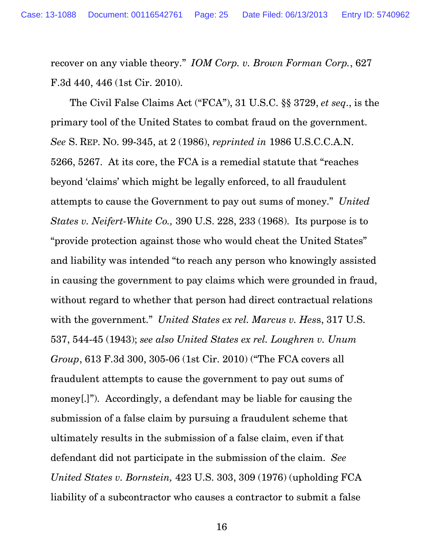recover on any viable theory." *IOM Corp. v. Brown Forman Corp.*, 627 F.3d 440, 446 (1st Cir. 2010).

 The Civil False Claims Act ("FCA"), 31 U.S.C. §§ 3729, *et seq*., is the primary tool of the United States to combat fraud on the government. *See* S. REP. NO. 99-345, at 2 (1986), *reprinted in* 1986 U.S.C.C.A.N. 5266, 5267. At its core, the FCA is a remedial statute that "reaches beyond 'claims' which might be legally enforced, to all fraudulent attempts to cause the Government to pay out sums of money." *United States v. Neifert-White Co.,* 390 U.S. 228, 233 (1968). Its purpose is to "provide protection against those who would cheat the United States" and liability was intended "to reach any person who knowingly assisted in causing the government to pay claims which were grounded in fraud, without regard to whether that person had direct contractual relations with the government." *United States ex rel. Marcus v. Hes*s, 317 U.S. 537, 544-45 (1943); *see also United States ex rel. Loughren v. Unum Group*, 613 F.3d 300, 305-06 (1st Cir. 2010) ("The FCA covers all fraudulent attempts to cause the government to pay out sums of money[.]"). Accordingly, a defendant may be liable for causing the submission of a false claim by pursuing a fraudulent scheme that ultimately results in the submission of a false claim, even if that defendant did not participate in the submission of the claim. *See United States v. Bornstein,* 423 U.S. 303, 309 (1976) (upholding FCA liability of a subcontractor who causes a contractor to submit a false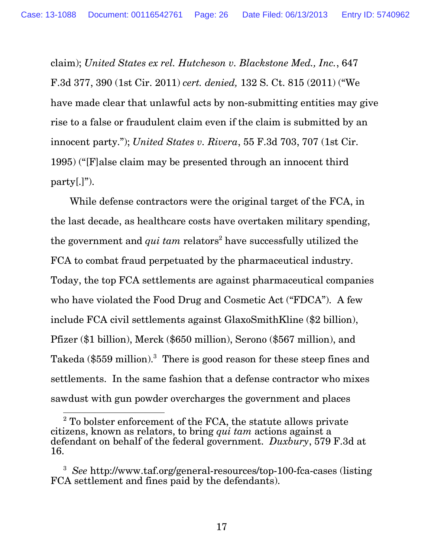claim); *United States ex rel. Hutcheson v. Blackstone Med., Inc.*, 647 F.3d 377, 390 (1st Cir. 2011) *cert. denied,* 132 S. Ct. 815 (2011) ("We have made clear that unlawful acts by non-submitting entities may give rise to a false or fraudulent claim even if the claim is submitted by an innocent party."); *United States v. Rivera*, 55 F.3d 703, 707 (1st Cir. 1995) ("[F]alse claim may be presented through an innocent third  $party[.]$ ").

 While defense contractors were the original target of the FCA, in the last decade, as healthcare costs have overtaken military spending, the government and *qui tam* relators<sup>2</sup> have successfully utilized the FCA to combat fraud perpetuated by the pharmaceutical industry. Today, the top FCA settlements are against pharmaceutical companies who have violated the Food Drug and Cosmetic Act ("FDCA"). A few include FCA civil settlements against GlaxoSmithKline (\$2 billion), Pfizer (\$1 billion), Merck (\$650 million), Serono (\$567 million), and Takeda (\$559 million).<sup>3</sup> There is good reason for these steep fines and settlements. In the same fashion that a defense contractor who mixes sawdust with gun powder overcharges the government and places

 2 To bolster enforcement of the FCA, the statute allows private citizens, known as relators, to bring *qui tam* actions against a defendant on behalf of the federal government. *Duxbury*, 579 F.3d at 16.

<sup>3</sup> *See* http://www.taf.org/general-resources/top-100-fca-cases (listing FCA settlement and fines paid by the defendants).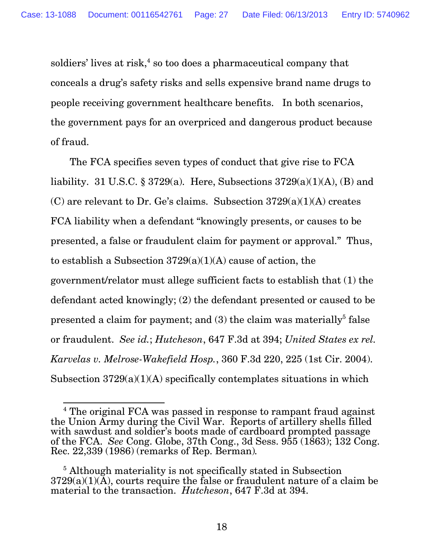soldiers' lives at risk, $4$  so too does a pharmaceutical company that conceals a drug's safety risks and sells expensive brand name drugs to people receiving government healthcare benefits. In both scenarios, the government pays for an overpriced and dangerous product because of fraud.

 The FCA specifies seven types of conduct that give rise to FCA liability. 31 U.S.C. § 3729(a). Here, Subsections  $3729(a)(1)(A)$ , (B) and (C) are relevant to Dr. Ge's claims. Subsection  $3729(a)(1)(A)$  creates FCA liability when a defendant "knowingly presents, or causes to be presented, a false or fraudulent claim for payment or approval." Thus, to establish a Subsection  $3729(a)(1)(A)$  cause of action, the government/relator must allege sufficient facts to establish that (1) the defendant acted knowingly; (2) the defendant presented or caused to be presented a claim for payment; and (3) the claim was materially<sup>5</sup> false or fraudulent. *See id.*; *Hutcheson*, 647 F.3d at 394; *United States ex rel. Karvelas v. Melrose-Wakefield Hosp.*, 360 F.3d 220, 225 (1st Cir. 2004). Subsection  $3729(a)(1)(A)$  specifically contemplates situations in which

 4 The original FCA was passed in response to rampant fraud against the Union Army during the Civil War. Reports of artillery shells filled with sawdust and soldier's boots made of cardboard prompted passage of the FCA. *See* Cong. Globe, 37th Cong., 3d Sess. 955 (1863); 132 Cong. Rec. 22,339 (1986) (remarks of Rep. Berman)*.*

<sup>&</sup>lt;sup>5</sup> Although materiality is not specifically stated in Subsection  $3729(a)(1)(\overline{A})$ , courts require the false or fraudulent nature of a claim be material to the transaction. *Hutcheson*, 647 F.3d at 394.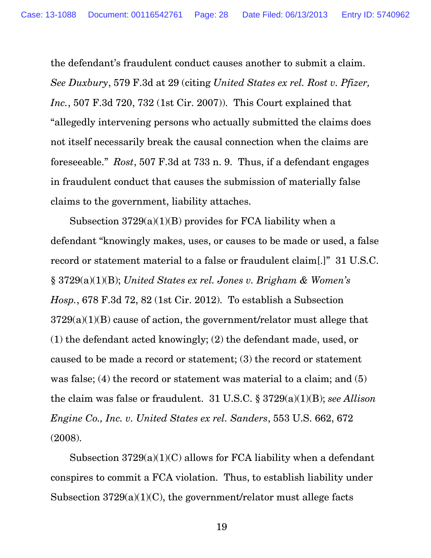the defendant's fraudulent conduct causes another to submit a claim. *See Duxbury*, 579 F.3d at 29 (citing *United States ex rel. Rost v. Pfizer, Inc.*, 507 F.3d 720, 732 (1st Cir. 2007)). This Court explained that "allegedly intervening persons who actually submitted the claims does not itself necessarily break the causal connection when the claims are foreseeable." *Rost*, 507 F.3d at 733 n. 9. Thus, if a defendant engages in fraudulent conduct that causes the submission of materially false claims to the government, liability attaches.

Subsection  $3729(a)(1)(B)$  provides for FCA liability when a defendant "knowingly makes, uses, or causes to be made or used, a false record or statement material to a false or fraudulent claim[.]" 31 U.S.C. § 3729(a)(1)(B); *United States ex rel. Jones v. Brigham & Women's Hosp.*, 678 F.3d 72, 82 (1st Cir. 2012). To establish a Subsection  $3729(a)(1)(B)$  cause of action, the government/relator must allege that (1) the defendant acted knowingly; (2) the defendant made, used, or caused to be made a record or statement; (3) the record or statement was false; (4) the record or statement was material to a claim; and (5) the claim was false or fraudulent. 31 U.S.C. § 3729(a)(1)(B); *see Allison Engine Co., Inc. v. United States ex rel. Sanders*, 553 U.S. 662, 672 (2008).

Subsection  $3729(a)(1)(C)$  allows for FCA liability when a defendant conspires to commit a FCA violation. Thus, to establish liability under Subsection 3729(a)(1)(C), the government/relator must allege facts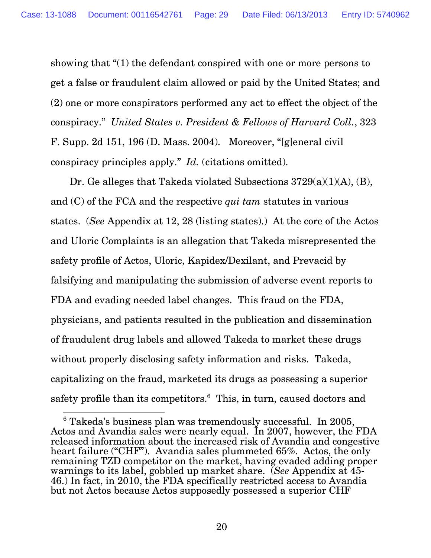showing that "(1) the defendant conspired with one or more persons to get a false or fraudulent claim allowed or paid by the United States; and (2) one or more conspirators performed any act to effect the object of the conspiracy." *United States v. President & Fellows of Harvard Coll.*, 323 F. Supp. 2d 151, 196 (D. Mass. 2004). Moreover, "[g]eneral civil conspiracy principles apply." *Id.* (citations omitted).

 Dr. Ge alleges that Takeda violated Subsections 3729(a)(1)(A), (B), and (C) of the FCA and the respective *qui tam* statutes in various states. (*See* Appendix at 12, 28 (listing states).) At the core of the Actos and Uloric Complaints is an allegation that Takeda misrepresented the safety profile of Actos, Uloric, Kapidex/Dexilant, and Prevacid by falsifying and manipulating the submission of adverse event reports to FDA and evading needed label changes. This fraud on the FDA, physicians, and patients resulted in the publication and dissemination of fraudulent drug labels and allowed Takeda to market these drugs without properly disclosing safety information and risks. Takeda, capitalizing on the fraud, marketed its drugs as possessing a superior safety profile than its competitors.<sup>6</sup> This, in turn, caused doctors and

 6 Takeda's business plan was tremendously successful. In 2005, Actos and Avandia sales were nearly equal. In 2007, however, the FDA released information about the increased risk of Avandia and congestive heart failure ("CHF"). Avandia sales plummeted 65%. Actos, the only remaining TZD competitor on the market, having evaded adding proper warnings to its label, gobbled up market share. (*See* Appendix at 45- 46.) In fact, in 2010, the FDA specifically restricted access to Avandia but not Actos because Actos supposedly possessed a superior CHF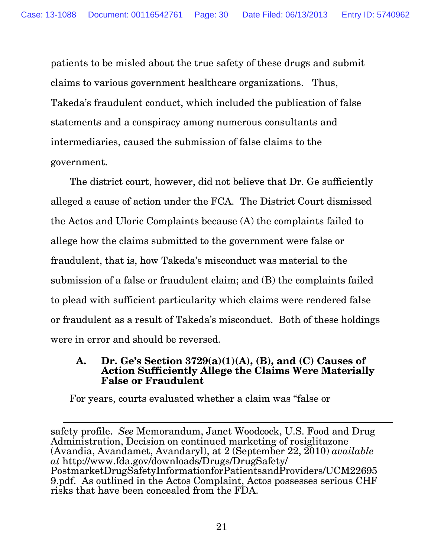patients to be misled about the true safety of these drugs and submit claims to various government healthcare organizations. Thus, Takeda's fraudulent conduct, which included the publication of false statements and a conspiracy among numerous consultants and intermediaries, caused the submission of false claims to the government.

 The district court, however, did not believe that Dr. Ge sufficiently alleged a cause of action under the FCA. The District Court dismissed the Actos and Uloric Complaints because (A) the complaints failed to allege how the claims submitted to the government were false or fraudulent, that is, how Takeda's misconduct was material to the submission of a false or fraudulent claim; and (B) the complaints failed to plead with sufficient particularity which claims were rendered false or fraudulent as a result of Takeda's misconduct. Both of these holdings were in error and should be reversed.

### **A. Dr. Ge's Section 3729(a)(1)(A), (B), and (C) Causes of Action Sufficiently Allege the Claims Were Materially False or Fraudulent**

For years, courts evaluated whether a claim was "false or

safety profile. *See* Memorandum, Janet Woodcock, U.S. Food and Drug Administration, Decision on continued marketing of rosiglitazone (Avandia, Avandamet, Avandaryl), at 2 (September 22, 2010) *available at* http://www.fda.gov/downloads/Drugs/DrugSafety/ PostmarketDrugSafetyInformationforPatientsandProviders/UCM22695 9.pdf. As outlined in the Actos Complaint, Actos possesses serious CHF risks that have been concealed from the FDA.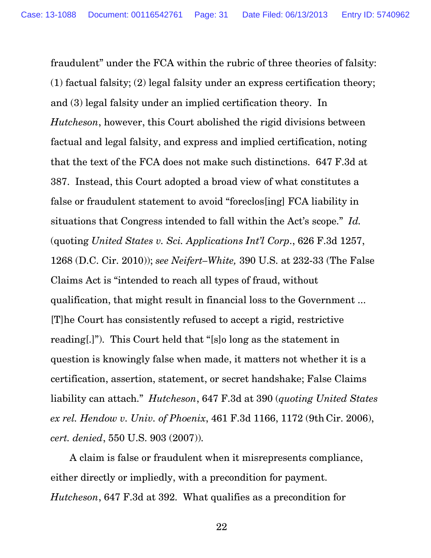fraudulent" under the FCA within the rubric of three theories of falsity: (1) factual falsity; (2) legal falsity under an express certification theory; and (3) legal falsity under an implied certification theory. In *Hutcheson*, however, this Court abolished the rigid divisions between factual and legal falsity, and express and implied certification, noting that the text of the FCA does not make such distinctions. 647 F.3d at 387. Instead, this Court adopted a broad view of what constitutes a false or fraudulent statement to avoid "foreclos[ing] FCA liability in situations that Congress intended to fall within the Act's scope." *Id.* (quoting *United States v. Sci. Applications Int'l Corp*., 626 F.3d 1257, 1268 (D.C. Cir. 2010)); *see Neifert–White,* 390 U.S. at 232-33 (The False Claims Act is "intended to reach all types of fraud, without qualification, that might result in financial loss to the Government ... [T]he Court has consistently refused to accept a rigid, restrictive reading[.]"). This Court held that "[s]o long as the statement in question is knowingly false when made, it matters not whether it is a certification, assertion, statement, or secret handshake; False Claims liability can attach." *Hutcheson*, 647 F.3d at 390 (*quoting United States ex rel. Hendow v. Univ. of Phoenix*, 461 F.3d 1166, 1172 (9th Cir. 2006), *cert. denied*, 550 U.S. 903 (2007)).

 A claim is false or fraudulent when it misrepresents compliance, either directly or impliedly, with a precondition for payment. *Hutcheson*, 647 F.3d at 392. What qualifies as a precondition for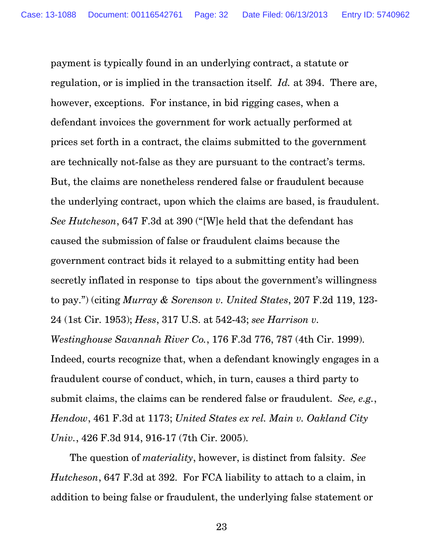payment is typically found in an underlying contract, a statute or regulation, or is implied in the transaction itself. *Id.* at 394. There are, however, exceptions. For instance, in bid rigging cases, when a defendant invoices the government for work actually performed at prices set forth in a contract, the claims submitted to the government are technically not-false as they are pursuant to the contract's terms. But, the claims are nonetheless rendered false or fraudulent because the underlying contract, upon which the claims are based, is fraudulent. *See Hutcheson*, 647 F.3d at 390 ("[W]e held that the defendant has caused the submission of false or fraudulent claims because the government contract bids it relayed to a submitting entity had been secretly inflated in response to tips about the government's willingness to pay.") (citing *Murray & Sorenson v. United States*, 207 F.2d 119, 123- 24 (1st Cir. 1953); *Hess*, 317 U.S. at 542-43; *see Harrison v. Westinghouse Savannah River Co.*, 176 F.3d 776, 787 (4th Cir. 1999). Indeed, courts recognize that, when a defendant knowingly engages in a fraudulent course of conduct, which, in turn, causes a third party to submit claims, the claims can be rendered false or fraudulent. *See, e.g.*, *Hendow*, 461 F.3d at 1173; *United States ex rel. Main v. Oakland City Univ.*, 426 F.3d 914, 916-17 (7th Cir. 2005).

 The question of *materiality*, however, is distinct from falsity. *See Hutcheson*, 647 F.3d at 392. For FCA liability to attach to a claim, in addition to being false or fraudulent, the underlying false statement or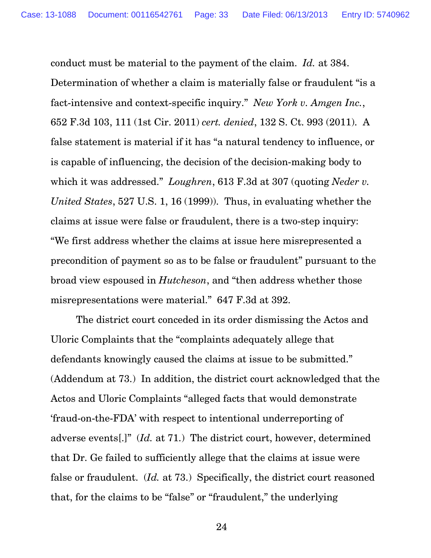conduct must be material to the payment of the claim. *Id.* at 384. Determination of whether a claim is materially false or fraudulent "is a fact-intensive and context-specific inquiry." *New York v. Amgen Inc.*, 652 F.3d 103, 111 (1st Cir. 2011) *cert. denied*, 132 S. Ct. 993 (2011). A false statement is material if it has "a natural tendency to influence, or is capable of influencing, the decision of the decision-making body to which it was addressed." *Loughren*, 613 F.3d at 307 (quoting *Neder v. United States*, 527 U.S. 1, 16 (1999)). Thus, in evaluating whether the claims at issue were false or fraudulent, there is a two-step inquiry: "We first address whether the claims at issue here misrepresented a precondition of payment so as to be false or fraudulent" pursuant to the broad view espoused in *Hutcheson*, and "then address whether those misrepresentations were material." 647 F.3d at 392.

 The district court conceded in its order dismissing the Actos and Uloric Complaints that the "complaints adequately allege that defendants knowingly caused the claims at issue to be submitted." (Addendum at 73.) In addition, the district court acknowledged that the Actos and Uloric Complaints "alleged facts that would demonstrate 'fraud-on-the-FDA' with respect to intentional underreporting of adverse events[.]" (*Id.* at 71.) The district court, however, determined that Dr. Ge failed to sufficiently allege that the claims at issue were false or fraudulent. (*Id.* at 73.) Specifically, the district court reasoned that, for the claims to be "false" or "fraudulent," the underlying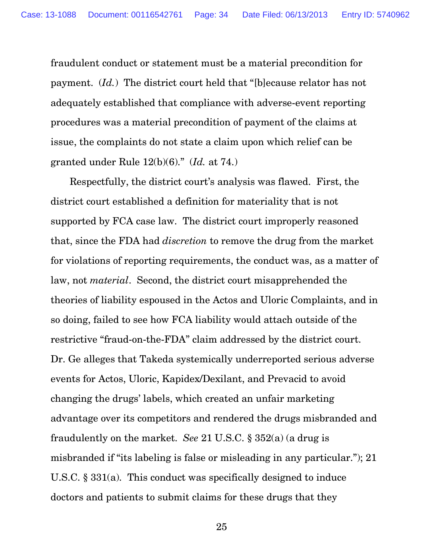fraudulent conduct or statement must be a material precondition for payment. (*Id.*) The district court held that "[b]ecause relator has not adequately established that compliance with adverse-event reporting procedures was a material precondition of payment of the claims at issue, the complaints do not state a claim upon which relief can be granted under Rule 12(b)(6)." (*Id.* at 74.)

 Respectfully, the district court's analysis was flawed. First, the district court established a definition for materiality that is not supported by FCA case law. The district court improperly reasoned that, since the FDA had *discretion* to remove the drug from the market for violations of reporting requirements, the conduct was, as a matter of law, not *material*. Second, the district court misapprehended the theories of liability espoused in the Actos and Uloric Complaints, and in so doing, failed to see how FCA liability would attach outside of the restrictive "fraud-on-the-FDA" claim addressed by the district court. Dr. Ge alleges that Takeda systemically underreported serious adverse events for Actos, Uloric, Kapidex/Dexilant, and Prevacid to avoid changing the drugs' labels, which created an unfair marketing advantage over its competitors and rendered the drugs misbranded and fraudulently on the market. *See* 21 U.S.C. § 352(a) (a drug is misbranded if "its labeling is false or misleading in any particular."); 21 U.S.C. § 331(a). This conduct was specifically designed to induce doctors and patients to submit claims for these drugs that they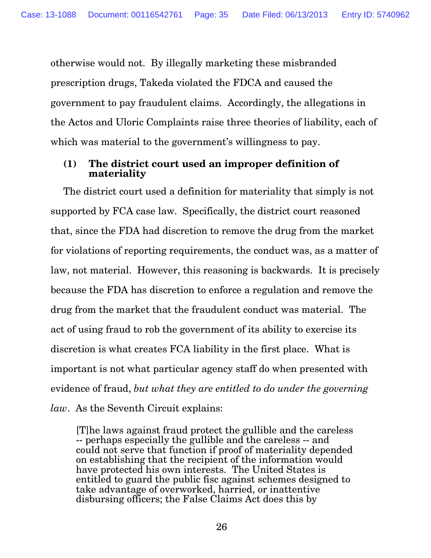otherwise would not. By illegally marketing these misbranded prescription drugs, Takeda violated the FDCA and caused the government to pay fraudulent claims. Accordingly, the allegations in the Actos and Uloric Complaints raise three theories of liability, each of which was material to the government's willingness to pay.

## **(1) The district court used an improper definition of materiality**

The district court used a definition for materiality that simply is not supported by FCA case law. Specifically, the district court reasoned that, since the FDA had discretion to remove the drug from the market for violations of reporting requirements, the conduct was, as a matter of law, not material. However, this reasoning is backwards. It is precisely because the FDA has discretion to enforce a regulation and remove the drug from the market that the fraudulent conduct was material. The act of using fraud to rob the government of its ability to exercise its discretion is what creates FCA liability in the first place. What is important is not what particular agency staff do when presented with evidence of fraud, *but what they are entitled to do under the governing law*. As the Seventh Circuit explains:

[T]he laws against fraud protect the gullible and the careless -- perhaps especially the gullible and the careless -- and could not serve that function if proof of materiality depended on establishing that the recipient of the information would have protected his own interests. The United States is entitled to guard the public fisc against schemes designed to take advantage of overworked, harried, or inattentive disbursing officers; the False Claims Act does this by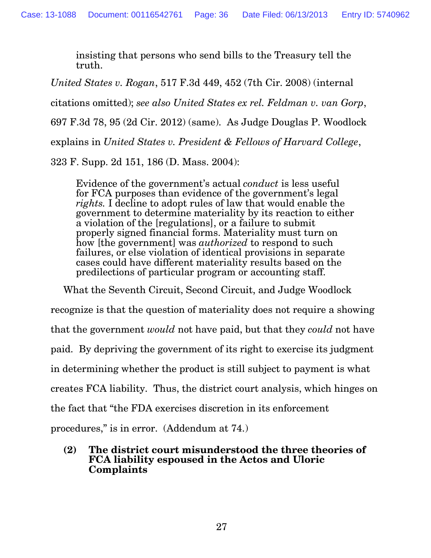insisting that persons who send bills to the Treasury tell the truth.

*United States v. Rogan*, 517 F.3d 449, 452 (7th Cir. 2008) (internal citations omitted); *see also United States ex rel. Feldman v. van Gorp*, 697 F.3d 78, 95 (2d Cir. 2012) (same). As Judge Douglas P. Woodlock explains in *United States v. President & Fellows of Harvard College*, 323 F. Supp. 2d 151, 186 (D. Mass. 2004):

Evidence of the government's actual *conduct* is less useful for FCA purposes than evidence of the government's legal *rights.* I decline to adopt rules of law that would enable the government to determine materiality by its reaction to either a violation of the [regulations], or a failure to submit properly signed financial forms. Materiality must turn on how [the government] was *authorized* to respond to such failures, or else violation of identical provisions in separate cases could have different materiality results based on the predilections of particular program or accounting staff.

What the Seventh Circuit, Second Circuit, and Judge Woodlock

recognize is that the question of materiality does not require a showing

that the government *would* not have paid, but that they *could* not have

paid. By depriving the government of its right to exercise its judgment

in determining whether the product is still subject to payment is what

creates FCA liability. Thus, the district court analysis, which hinges on

the fact that "the FDA exercises discretion in its enforcement

procedures," is in error. (Addendum at 74.)

**(2) The district court misunderstood the three theories of FCA liability espoused in the Actos and Uloric Complaints**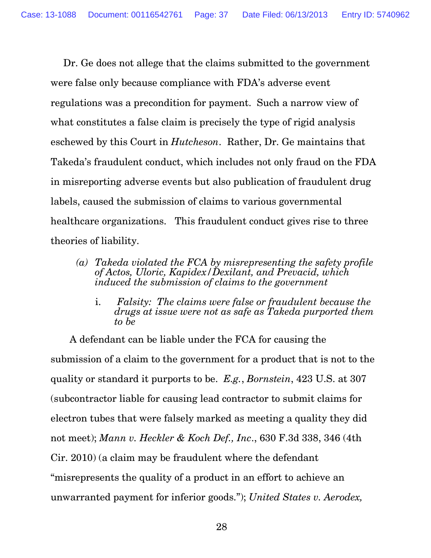Dr. Ge does not allege that the claims submitted to the government were false only because compliance with FDA's adverse event regulations was a precondition for payment. Such a narrow view of what constitutes a false claim is precisely the type of rigid analysis eschewed by this Court in *Hutcheson*. Rather, Dr. Ge maintains that Takeda's fraudulent conduct, which includes not only fraud on the FDA in misreporting adverse events but also publication of fraudulent drug labels, caused the submission of claims to various governmental healthcare organizations. This fraudulent conduct gives rise to three theories of liability.

- *(a) Takeda violated the FCA by misrepresenting the safety profile of Actos, Uloric, Kapidex/Dexilant, and Prevacid, which induced the submission of claims to the government* 
	- i. *Falsity: The claims were false or fraudulent because the drugs at issue were not as safe as Takeda purported them to be*

 A defendant can be liable under the FCA for causing the submission of a claim to the government for a product that is not to the quality or standard it purports to be. *E.g.*, *Bornstein*, 423 U.S. at 307 (subcontractor liable for causing lead contractor to submit claims for electron tubes that were falsely marked as meeting a quality they did not meet); *Mann v. Heckler & Koch Def., Inc*., 630 F.3d 338, 346 (4th Cir. 2010) (a claim may be fraudulent where the defendant "misrepresents the quality of a product in an effort to achieve an unwarranted payment for inferior goods."); *United States v. Aerodex,*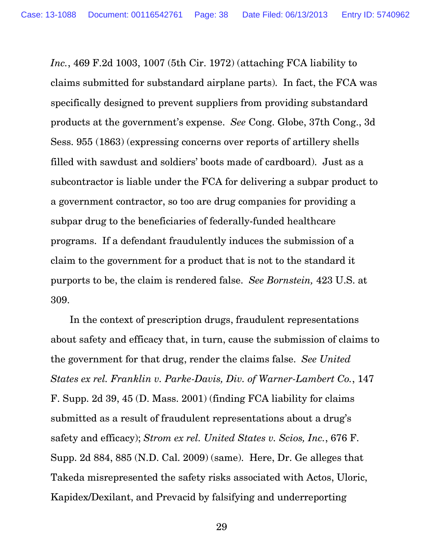*Inc.*, 469 F.2d 1003, 1007 (5th Cir. 1972) (attaching FCA liability to claims submitted for substandard airplane parts). In fact, the FCA was specifically designed to prevent suppliers from providing substandard products at the government's expense. *See* Cong. Globe, 37th Cong., 3d Sess. 955 (1863) (expressing concerns over reports of artillery shells filled with sawdust and soldiers' boots made of cardboard). Just as a subcontractor is liable under the FCA for delivering a subpar product to a government contractor, so too are drug companies for providing a subpar drug to the beneficiaries of federally-funded healthcare programs. If a defendant fraudulently induces the submission of a claim to the government for a product that is not to the standard it purports to be, the claim is rendered false. *See Bornstein,* 423 U.S. at 309.

 In the context of prescription drugs, fraudulent representations about safety and efficacy that, in turn, cause the submission of claims to the government for that drug, render the claims false. *See United States ex rel. Franklin v. Parke-Davis, Div. of Warner-Lambert Co.*, 147 F. Supp. 2d 39, 45 (D. Mass. 2001) (finding FCA liability for claims submitted as a result of fraudulent representations about a drug's safety and efficacy); *Strom ex rel. United States v. Scios, Inc.*, 676 F. Supp. 2d 884, 885 (N.D. Cal. 2009) (same). Here, Dr. Ge alleges that Takeda misrepresented the safety risks associated with Actos, Uloric, Kapidex/Dexilant, and Prevacid by falsifying and underreporting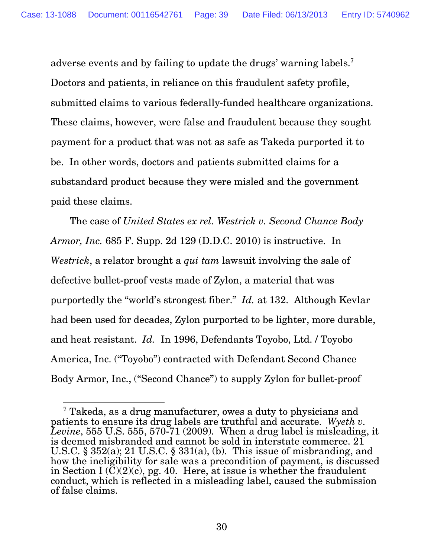adverse events and by failing to update the drugs' warning labels.<sup>7</sup> Doctors and patients, in reliance on this fraudulent safety profile, submitted claims to various federally-funded healthcare organizations. These claims, however, were false and fraudulent because they sought payment for a product that was not as safe as Takeda purported it to be. In other words, doctors and patients submitted claims for a substandard product because they were misled and the government paid these claims.

 The case of *United States ex rel. Westrick v. Second Chance Body Armor, Inc.* 685 F. Supp. 2d 129 (D.D.C. 2010) is instructive. In *Westrick*, a relator brought a *qui tam* lawsuit involving the sale of defective bullet-proof vests made of Zylon, a material that was purportedly the "world's strongest fiber." *Id.* at 132. Although Kevlar had been used for decades, Zylon purported to be lighter, more durable, and heat resistant. *Id.* In 1996, Defendants Toyobo, Ltd. / Toyobo America, Inc. ("Toyobo") contracted with Defendant Second Chance Body Armor, Inc., ("Second Chance") to supply Zylon for bullet-proof

<sup>-</sup>7 Takeda, as a drug manufacturer, owes a duty to physicians and patients to ensure its drug labels are truthful and accurate. *Wyeth v. Levine*, 555 U.S. 555, 570-71 (2009). When a drug label is misleading, it is deemed misbranded and cannot be sold in interstate commerce. 21 U.S.C. §  $352(a)$ ; 21 U.S.C. §  $331(a)$ , (b). This issue of misbranding, and how the ineligibility for sale was a precondition of payment, is discussed in Section I  $\overline{C}(2)(c)$ , pg. 40. Here, at issue is whether the fraudulent conduct, which is reflected in a misleading label, caused the submission of false claims.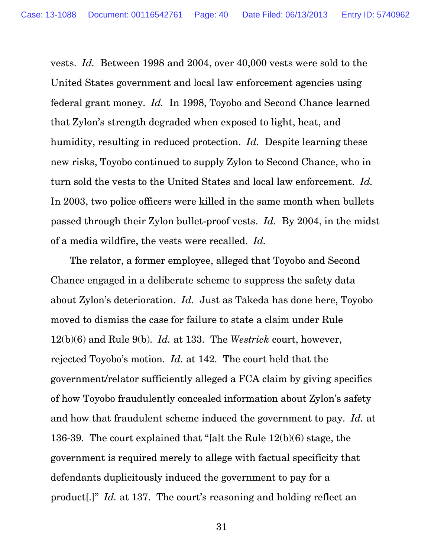vests. *Id.* Between 1998 and 2004, over 40,000 vests were sold to the United States government and local law enforcement agencies using federal grant money. *Id.* In 1998, Toyobo and Second Chance learned that Zylon's strength degraded when exposed to light, heat, and humidity, resulting in reduced protection. *Id.* Despite learning these new risks, Toyobo continued to supply Zylon to Second Chance, who in turn sold the vests to the United States and local law enforcement. *Id.* In 2003, two police officers were killed in the same month when bullets passed through their Zylon bullet-proof vests. *Id.* By 2004, in the midst of a media wildfire, the vests were recalled. *Id.*

 The relator, a former employee, alleged that Toyobo and Second Chance engaged in a deliberate scheme to suppress the safety data about Zylon's deterioration. *Id.* Just as Takeda has done here, Toyobo moved to dismiss the case for failure to state a claim under Rule 12(b)(6) and Rule 9(b). *Id.* at 133. The *Westrick* court, however, rejected Toyobo's motion. *Id.* at 142. The court held that the government/relator sufficiently alleged a FCA claim by giving specifics of how Toyobo fraudulently concealed information about Zylon's safety and how that fraudulent scheme induced the government to pay. *Id.* at 136-39. The court explained that "[a]t the Rule 12(b)(6) stage, the government is required merely to allege with factual specificity that defendants duplicitously induced the government to pay for a product[.]" *Id.* at 137. The court's reasoning and holding reflect an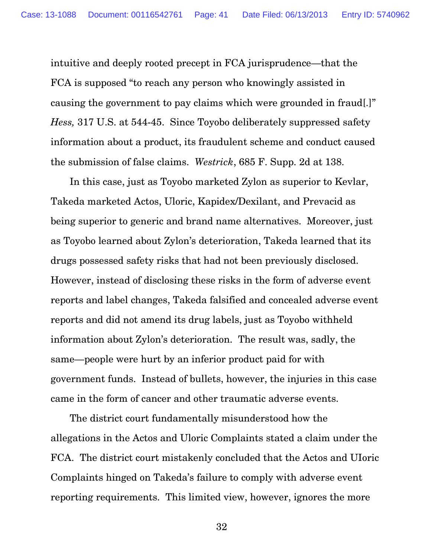intuitive and deeply rooted precept in FCA jurisprudence—that the FCA is supposed "to reach any person who knowingly assisted in causing the government to pay claims which were grounded in fraud[.]" *Hess,* 317 U.S. at 544-45. Since Toyobo deliberately suppressed safety information about a product, its fraudulent scheme and conduct caused the submission of false claims. *Westrick*, 685 F. Supp. 2d at 138.

 In this case, just as Toyobo marketed Zylon as superior to Kevlar, Takeda marketed Actos, Uloric, Kapidex/Dexilant, and Prevacid as being superior to generic and brand name alternatives. Moreover, just as Toyobo learned about Zylon's deterioration, Takeda learned that its drugs possessed safety risks that had not been previously disclosed. However, instead of disclosing these risks in the form of adverse event reports and label changes, Takeda falsified and concealed adverse event reports and did not amend its drug labels, just as Toyobo withheld information about Zylon's deterioration. The result was, sadly, the same—people were hurt by an inferior product paid for with government funds. Instead of bullets, however, the injuries in this case came in the form of cancer and other traumatic adverse events.

 The district court fundamentally misunderstood how the allegations in the Actos and Uloric Complaints stated a claim under the FCA. The district court mistakenly concluded that the Actos and UIoric Complaints hinged on Takeda's failure to comply with adverse event reporting requirements. This limited view, however, ignores the more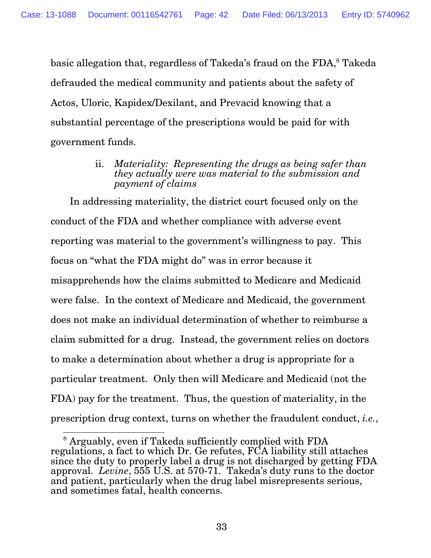basic allegation that, regardless of Takeda's fraud on the FDA,<sup>8</sup> Takeda defrauded the medical community and patients about the safety of Actos, Uloric, Kapidex/Dexilant, and Prevacid knowing that a substantial percentage of the prescriptions would be paid for with government funds.

> ii. *Materiality: Representing the drugs as being safer than they actually were was material to the submission and payment of claims*

 In addressing materiality, the district court focused only on the conduct of the FDA and whether compliance with adverse event reporting was material to the government's willingness to pay. This focus on "what the FDA might do" was in error because it misapprehends how the claims submitted to Medicare and Medicaid were false. In the context of Medicare and Medicaid, the government does not make an individual determination of whether to reimburse a claim submitted for a drug. Instead, the government relies on doctors to make a determination about whether a drug is appropriate for a particular treatment. Only then will Medicare and Medicaid (not the FDA) pay for the treatment. Thus, the question of materiality, in the prescription drug context, turns on whether the fraudulent conduct, *i.e.*,

 8 Arguably, even if Takeda sufficiently complied with FDA regulations, a fact to which Dr. Ge refutes, FCA liability still attaches since the duty to properly label a drug is not discharged by getting FDA approval. *Levine*, 555 U.S. at 570-71. Takeda's duty runs to the doctor and patient, particularly when the drug label misrepresents serious, and sometimes fatal, health concerns.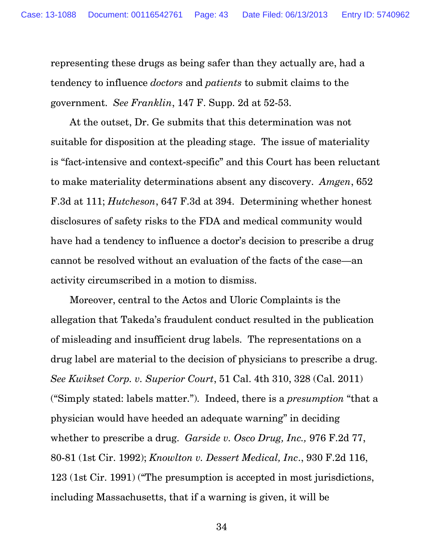representing these drugs as being safer than they actually are, had a tendency to influence *doctors* and *patients* to submit claims to the government. *See Franklin*, 147 F. Supp. 2d at 52-53.

 At the outset, Dr. Ge submits that this determination was not suitable for disposition at the pleading stage. The issue of materiality is "fact-intensive and context-specific" and this Court has been reluctant to make materiality determinations absent any discovery. *Amgen*, 652 F.3d at 111; *Hutcheson*, 647 F.3d at 394. Determining whether honest disclosures of safety risks to the FDA and medical community would have had a tendency to influence a doctor's decision to prescribe a drug cannot be resolved without an evaluation of the facts of the case—an activity circumscribed in a motion to dismiss.

 Moreover, central to the Actos and Uloric Complaints is the allegation that Takeda's fraudulent conduct resulted in the publication of misleading and insufficient drug labels. The representations on a drug label are material to the decision of physicians to prescribe a drug. *See Kwikset Corp. v. Superior Court*, 51 Cal. 4th 310, 328 (Cal. 2011) ("Simply stated: labels matter."). Indeed, there is a *presumption* "that a physician would have heeded an adequate warning" in deciding whether to prescribe a drug. *Garside v. Osco Drug, Inc.,* 976 F.2d 77, 80-81 (1st Cir. 1992); *Knowlton v. Dessert Medical, Inc*., 930 F.2d 116, 123 (1st Cir. 1991) ("The presumption is accepted in most jurisdictions, including Massachusetts, that if a warning is given, it will be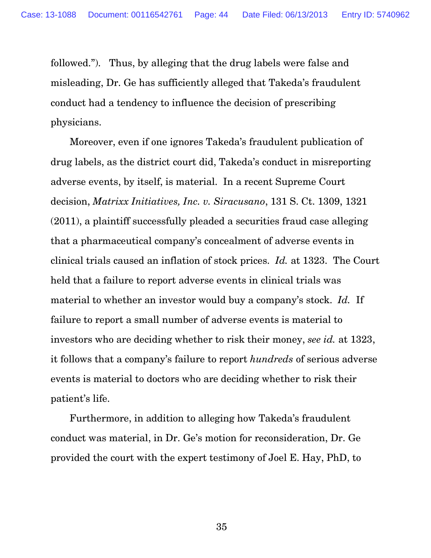followed."). Thus, by alleging that the drug labels were false and misleading, Dr. Ge has sufficiently alleged that Takeda's fraudulent conduct had a tendency to influence the decision of prescribing physicians.

 Moreover, even if one ignores Takeda's fraudulent publication of drug labels, as the district court did, Takeda's conduct in misreporting adverse events, by itself, is material. In a recent Supreme Court decision, *Matrixx Initiatives, Inc. v. Siracusano*, 131 S. Ct. 1309, 1321 (2011), a plaintiff successfully pleaded a securities fraud case alleging that a pharmaceutical company's concealment of adverse events in clinical trials caused an inflation of stock prices. *Id.* at 1323. The Court held that a failure to report adverse events in clinical trials was material to whether an investor would buy a company's stock. *Id.* If failure to report a small number of adverse events is material to investors who are deciding whether to risk their money, *see id.* at 1323, it follows that a company's failure to report *hundreds* of serious adverse events is material to doctors who are deciding whether to risk their patient's life.

 Furthermore, in addition to alleging how Takeda's fraudulent conduct was material, in Dr. Ge's motion for reconsideration, Dr. Ge provided the court with the expert testimony of Joel E. Hay, PhD, to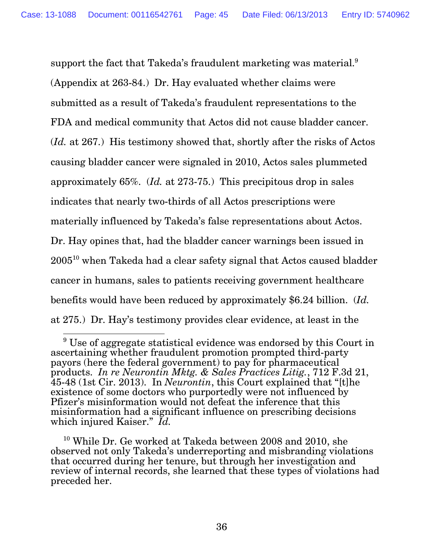support the fact that Takeda's fraudulent marketing was material.<sup>9</sup> (Appendix at 263-84.) Dr. Hay evaluated whether claims were submitted as a result of Takeda's fraudulent representations to the FDA and medical community that Actos did not cause bladder cancer. (*Id.* at 267.) His testimony showed that, shortly after the risks of Actos causing bladder cancer were signaled in 2010, Actos sales plummeted approximately 65%. (*Id.* at 273-75.) This precipitous drop in sales indicates that nearly two-thirds of all Actos prescriptions were materially influenced by Takeda's false representations about Actos. Dr. Hay opines that, had the bladder cancer warnings been issued in 2005<sup>10</sup> when Takeda had a clear safety signal that Actos caused bladder cancer in humans, sales to patients receiving government healthcare benefits would have been reduced by approximately \$6.24 billion. (*Id.* at 275.) Dr. Hay's testimony provides clear evidence, at least in the

 9 Use of aggregate statistical evidence was endorsed by this Court in ascertaining whether fraudulent promotion prompted third-party payors (here the federal government) to pay for pharmaceutical products. *In re Neurontin Mktg. & Sales Practices Litig.*, 712 F.3d 21, 45-48 (1st Cir. 2013). In *Neurontin*, this Court explained that "[t]he existence of some doctors who purportedly were not influenced by Pfizer's misinformation would not defeat the inference that this misinformation had a significant influence on prescribing decisions which injured Kaiser." *Id.*

 $10$  While Dr. Ge worked at Takeda between 2008 and 2010, she observed not only Takeda's underreporting and misbranding violations that occurred during her tenure, but through her investigation and review of internal records, she learned that these types of violations had preceded her.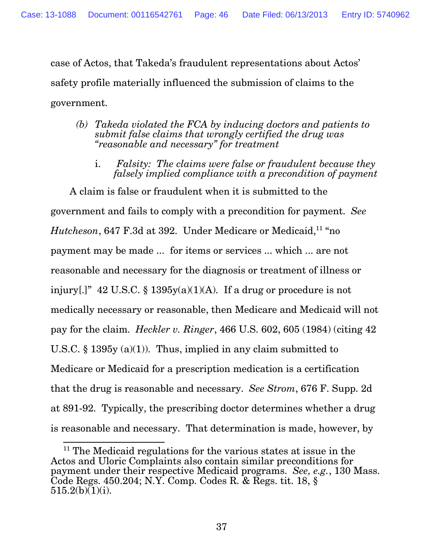case of Actos, that Takeda's fraudulent representations about Actos' safety profile materially influenced the submission of claims to the government.

- *(b) Takeda violated the FCA by inducing doctors and patients to submit false claims that wrongly certified the drug was "reasonable and necessary" for treatment* 
	- i. *Falsity: The claims were false or fraudulent because they falsely implied compliance with a precondition of payment*

 A claim is false or fraudulent when it is submitted to the government and fails to comply with a precondition for payment. *See Hutcheson*, 647 F.3d at 392. Under Medicare or Medicaid,<sup>11</sup> "no payment may be made ... for items or services ... which ... are not reasonable and necessary for the diagnosis or treatment of illness or injury[.]"  $42 \text{ U.S.C. }$  \$ 1395y(a)(1)(A). If a drug or procedure is not medically necessary or reasonable, then Medicare and Medicaid will not pay for the claim. *Heckler v. Ringer*, 466 U.S. 602, 605 (1984) (citing 42 U.S.C. § 1395 $y(a)(1)$ . Thus, implied in any claim submitted to Medicare or Medicaid for a prescription medication is a certification that the drug is reasonable and necessary. *See Strom*, 676 F. Supp. 2d at 891-92. Typically, the prescribing doctor determines whether a drug is reasonable and necessary. That determination is made, however, by

 $\overline{a}$ <sup>11</sup> The Medicaid regulations for the various states at issue in the Actos and Uloric Complaints also contain similar preconditions for payment under their respective Medicaid programs. *See, e.g.*, 130 Mass. Code Regs. 450.204; N.Y. Comp. Codes R. & Regs. tit. 18, §  $515.2(b)(1)(i)$ .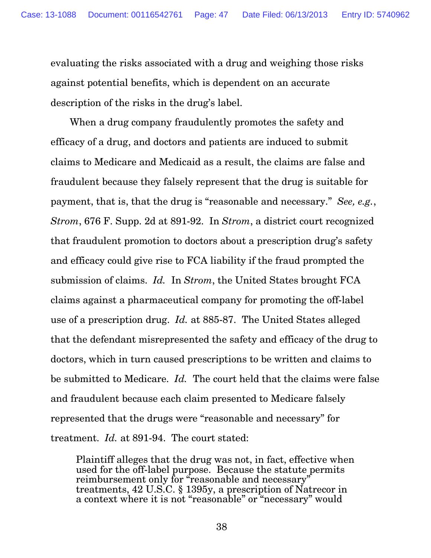evaluating the risks associated with a drug and weighing those risks against potential benefits, which is dependent on an accurate description of the risks in the drug's label.

 When a drug company fraudulently promotes the safety and efficacy of a drug, and doctors and patients are induced to submit claims to Medicare and Medicaid as a result, the claims are false and fraudulent because they falsely represent that the drug is suitable for payment, that is, that the drug is "reasonable and necessary." *See, e.g.*, *Strom*, 676 F. Supp. 2d at 891-92. In *Strom*, a district court recognized that fraudulent promotion to doctors about a prescription drug's safety and efficacy could give rise to FCA liability if the fraud prompted the submission of claims. *Id.* In *Strom*, the United States brought FCA claims against a pharmaceutical company for promoting the off-label use of a prescription drug. *Id.* at 885-87. The United States alleged that the defendant misrepresented the safety and efficacy of the drug to doctors, which in turn caused prescriptions to be written and claims to be submitted to Medicare. *Id.* The court held that the claims were false and fraudulent because each claim presented to Medicare falsely represented that the drugs were "reasonable and necessary" for treatment. *Id.* at 891-94. The court stated:

Plaintiff alleges that the drug was not, in fact, effective when used for the off-label purpose. Because the statute permits reimbursement only for "reasonable and necessary" treatments, 42 U.S.C. § 1395y, a prescription of Natrecor in a context where it is not "reasonable" or "necessary" would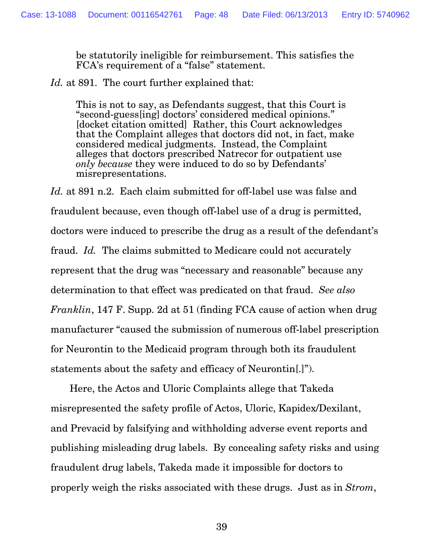be statutorily ineligible for reimbursement. This satisfies the FCA's requirement of a "false" statement.

*Id.* at 891. The court further explained that:

This is not to say, as Defendants suggest, that this Court is "second-guess[ing] doctors' considered medical opinions." [docket citation omitted] Rather, this Court acknowledges that the Complaint alleges that doctors did not, in fact, make considered medical judgments. Instead, the Complaint alleges that doctors prescribed Natrecor for outpatient use *only because* they were induced to do so by Defendants' misrepresentations.

Id. at 891 n.2. Each claim submitted for off-label use was false and fraudulent because, even though off-label use of a drug is permitted, doctors were induced to prescribe the drug as a result of the defendant's fraud. *Id.* The claims submitted to Medicare could not accurately represent that the drug was "necessary and reasonable" because any determination to that effect was predicated on that fraud. *See also Franklin*, 147 F. Supp. 2d at 51 (finding FCA cause of action when drug manufacturer "caused the submission of numerous off-label prescription for Neurontin to the Medicaid program through both its fraudulent statements about the safety and efficacy of Neurontin[.]").

 Here, the Actos and Uloric Complaints allege that Takeda misrepresented the safety profile of Actos, Uloric, Kapidex/Dexilant, and Prevacid by falsifying and withholding adverse event reports and publishing misleading drug labels. By concealing safety risks and using fraudulent drug labels, Takeda made it impossible for doctors to properly weigh the risks associated with these drugs. Just as in *Strom*,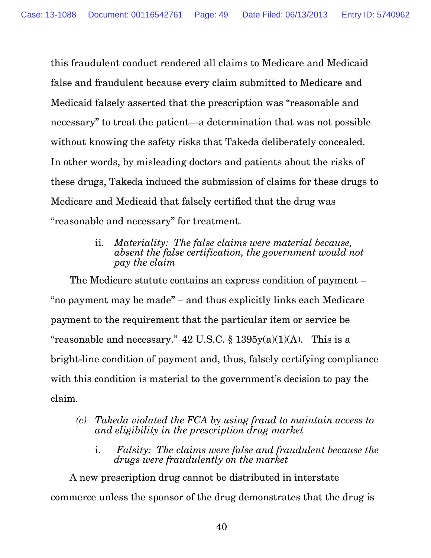this fraudulent conduct rendered all claims to Medicare and Medicaid false and fraudulent because every claim submitted to Medicare and Medicaid falsely asserted that the prescription was "reasonable and necessary" to treat the patient—a determination that was not possible without knowing the safety risks that Takeda deliberately concealed. In other words, by misleading doctors and patients about the risks of these drugs, Takeda induced the submission of claims for these drugs to Medicare and Medicaid that falsely certified that the drug was "reasonable and necessary" for treatment.

> ii. *Materiality: The false claims were material because, absent the false certification, the government would not pay the claim*

 The Medicare statute contains an express condition of payment – "no payment may be made" – and thus explicitly links each Medicare payment to the requirement that the particular item or service be "reasonable and necessary."  $42 \text{ U.S.C.}$  §  $1395y(a)(1)(A)$ . This is a bright-line condition of payment and, thus, falsely certifying compliance with this condition is material to the government's decision to pay the claim.

- *(c) Takeda violated the FCA by using fraud to maintain access to and eligibility in the prescription drug market* 
	- i. *Falsity: The claims were false and fraudulent because the drugs were fraudulently on the market*

 A new prescription drug cannot be distributed in interstate commerce unless the sponsor of the drug demonstrates that the drug is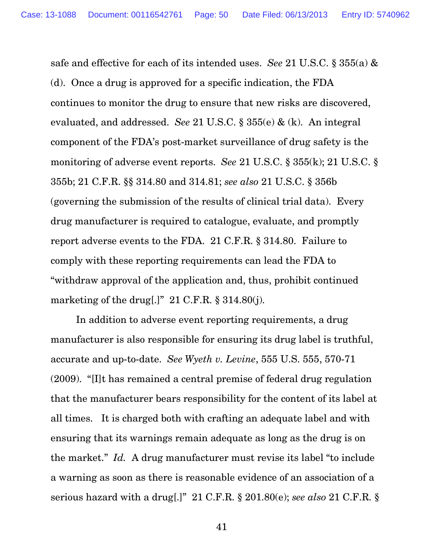safe and effective for each of its intended uses. *See* 21 U.S.C. § 355(a) & (d). Once a drug is approved for a specific indication, the FDA continues to monitor the drug to ensure that new risks are discovered, evaluated, and addressed. *See* 21 U.S.C. § 355(e) & (k). An integral component of the FDA's post-market surveillance of drug safety is the monitoring of adverse event reports. *See* 21 U.S.C. § 355(k); 21 U.S.C. § 355b; 21 C.F.R. §§ 314.80 and 314.81; *see also* 21 U.S.C. § 356b (governing the submission of the results of clinical trial data). Every drug manufacturer is required to catalogue, evaluate, and promptly report adverse events to the FDA. 21 C.F.R. § 314.80. Failure to comply with these reporting requirements can lead the FDA to "withdraw approval of the application and, thus, prohibit continued marketing of the drug[.]"  $21$  C.F.R. § 314.80(j).

 In addition to adverse event reporting requirements, a drug manufacturer is also responsible for ensuring its drug label is truthful, accurate and up-to-date. *See Wyeth v. Levine*, 555 U.S. 555, 570-71 (2009). "[I]t has remained a central premise of federal drug regulation that the manufacturer bears responsibility for the content of its label at all times. It is charged both with crafting an adequate label and with ensuring that its warnings remain adequate as long as the drug is on the market." *Id.* A drug manufacturer must revise its label "to include a warning as soon as there is reasonable evidence of an association of a serious hazard with a drug[.]" 21 C.F.R. § 201.80(e); *see also* 21 C.F.R. §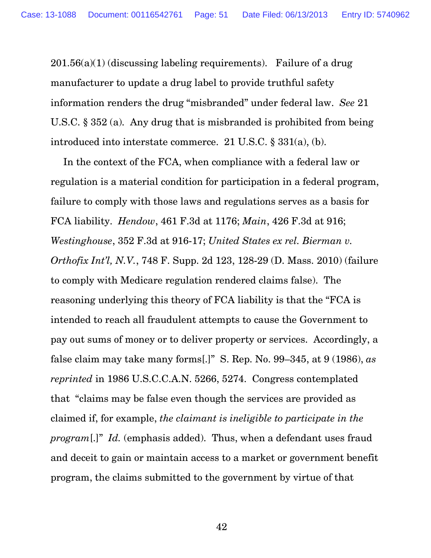$201.56(a)(1)$  (discussing labeling requirements). Failure of a drug manufacturer to update a drug label to provide truthful safety information renders the drug "misbranded" under federal law. *See* 21 U.S.C. § 352 (a). Any drug that is misbranded is prohibited from being introduced into interstate commerce. 21 U.S.C. § 331(a), (b).

In the context of the FCA, when compliance with a federal law or regulation is a material condition for participation in a federal program, failure to comply with those laws and regulations serves as a basis for FCA liability. *Hendow*, 461 F.3d at 1176; *Main*, 426 F.3d at 916; *Westinghouse*, 352 F.3d at 916-17; *United States ex rel. Bierman v. Orthofix Int'l, N.V.*, 748 F. Supp. 2d 123, 128-29 (D. Mass. 2010) (failure to comply with Medicare regulation rendered claims false). The reasoning underlying this theory of FCA liability is that the "FCA is intended to reach all fraudulent attempts to cause the Government to pay out sums of money or to deliver property or services. Accordingly, a false claim may take many forms[.]" S. Rep. No. 99–345, at 9 (1986), *as reprinted* in 1986 U.S.C.C.A.N. 5266, 5274. Congress contemplated that "claims may be false even though the services are provided as claimed if, for example, *the claimant is ineligible to participate in the program*[.]" *Id.* (emphasis added). Thus, when a defendant uses fraud and deceit to gain or maintain access to a market or government benefit program, the claims submitted to the government by virtue of that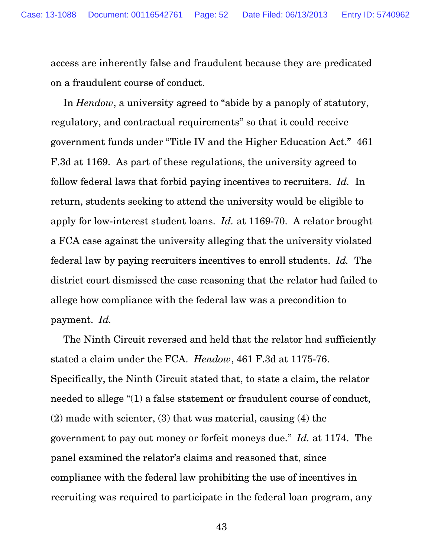access are inherently false and fraudulent because they are predicated on a fraudulent course of conduct.

In *Hendow*, a university agreed to "abide by a panoply of statutory, regulatory, and contractual requirements" so that it could receive government funds under "Title IV and the Higher Education Act." 461 F.3d at 1169. As part of these regulations, the university agreed to follow federal laws that forbid paying incentives to recruiters. *Id.* In return, students seeking to attend the university would be eligible to apply for low-interest student loans. *Id.* at 1169-70. A relator brought a FCA case against the university alleging that the university violated federal law by paying recruiters incentives to enroll students. *Id.* The district court dismissed the case reasoning that the relator had failed to allege how compliance with the federal law was a precondition to payment. *Id.*

The Ninth Circuit reversed and held that the relator had sufficiently stated a claim under the FCA. *Hendow*, 461 F.3d at 1175-76. Specifically, the Ninth Circuit stated that, to state a claim, the relator needed to allege "(1) a false statement or fraudulent course of conduct, (2) made with scienter, (3) that was material, causing (4) the government to pay out money or forfeit moneys due." *Id.* at 1174. The panel examined the relator's claims and reasoned that, since compliance with the federal law prohibiting the use of incentives in recruiting was required to participate in the federal loan program, any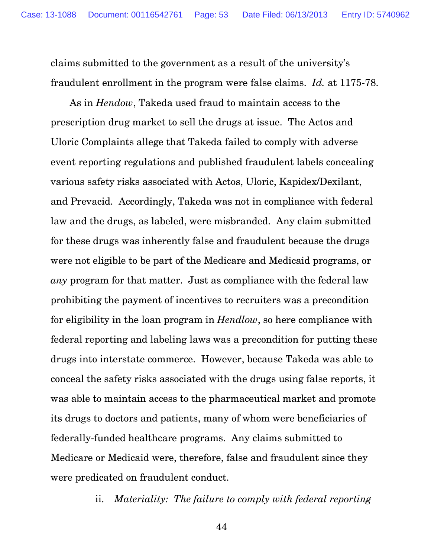claims submitted to the government as a result of the university's fraudulent enrollment in the program were false claims. *Id.* at 1175-78.

 As in *Hendow*, Takeda used fraud to maintain access to the prescription drug market to sell the drugs at issue. The Actos and Uloric Complaints allege that Takeda failed to comply with adverse event reporting regulations and published fraudulent labels concealing various safety risks associated with Actos, Uloric, Kapidex/Dexilant, and Prevacid. Accordingly, Takeda was not in compliance with federal law and the drugs, as labeled, were misbranded. Any claim submitted for these drugs was inherently false and fraudulent because the drugs were not eligible to be part of the Medicare and Medicaid programs, or *any* program for that matter. Just as compliance with the federal law prohibiting the payment of incentives to recruiters was a precondition for eligibility in the loan program in *Hendlow*, so here compliance with federal reporting and labeling laws was a precondition for putting these drugs into interstate commerce. However, because Takeda was able to conceal the safety risks associated with the drugs using false reports, it was able to maintain access to the pharmaceutical market and promote its drugs to doctors and patients, many of whom were beneficiaries of federally-funded healthcare programs. Any claims submitted to Medicare or Medicaid were, therefore, false and fraudulent since they were predicated on fraudulent conduct.

ii. *Materiality: The failure to comply with federal reporting*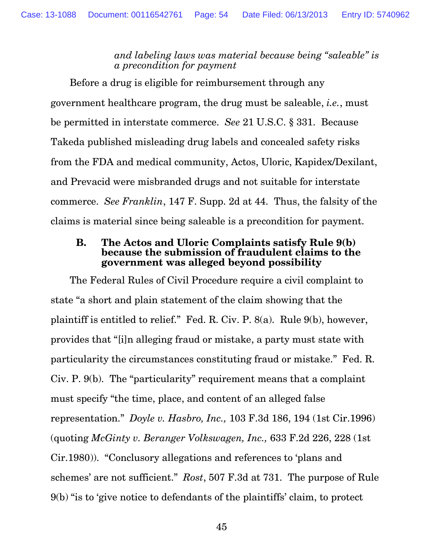*and labeling laws was material because being "saleable" is a precondition for payment* 

 Before a drug is eligible for reimbursement through any government healthcare program, the drug must be saleable, *i.e.*, must be permitted in interstate commerce. *See* 21 U.S.C. § 331. Because Takeda published misleading drug labels and concealed safety risks from the FDA and medical community, Actos, Uloric, Kapidex/Dexilant, and Prevacid were misbranded drugs and not suitable for interstate commerce. *See Franklin*, 147 F. Supp. 2d at 44. Thus, the falsity of the claims is material since being saleable is a precondition for payment.

#### **B. The Actos and Uloric Complaints satisfy Rule 9(b) because the submission of fraudulent claims to the government was alleged beyond possibility**

 The Federal Rules of Civil Procedure require a civil complaint to state "a short and plain statement of the claim showing that the plaintiff is entitled to relief." Fed. R. Civ. P. 8(a). Rule 9(b), however, provides that "[i]n alleging fraud or mistake, a party must state with particularity the circumstances constituting fraud or mistake." Fed. R. Civ. P. 9(b). The "particularity" requirement means that a complaint must specify "the time, place, and content of an alleged false representation." *Doyle v. Hasbro, Inc.,* 103 F.3d 186, 194 (1st Cir.1996) (quoting *McGinty v. Beranger Volkswagen, Inc.,* 633 F.2d 226, 228 (1st Cir.1980)). "Conclusory allegations and references to 'plans and schemes' are not sufficient." *Rost*, 507 F.3d at 731. The purpose of Rule 9(b) "is to 'give notice to defendants of the plaintiffs' claim, to protect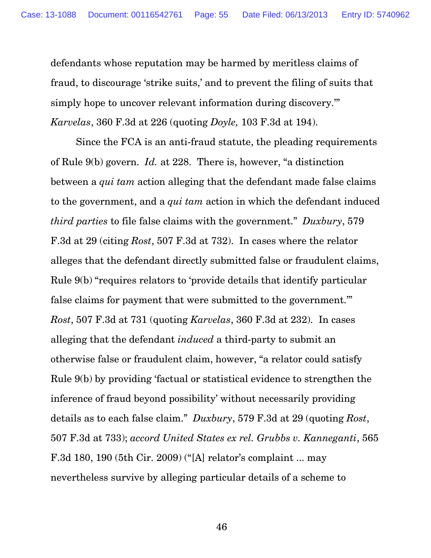defendants whose reputation may be harmed by meritless claims of fraud, to discourage 'strike suits,' and to prevent the filing of suits that simply hope to uncover relevant information during discovery.'" *Karvelas*, 360 F.3d at 226 (quoting *Doyle,* 103 F.3d at 194).

 Since the FCA is an anti-fraud statute, the pleading requirements of Rule 9(b) govern. *Id.* at 228. There is, however, "a distinction between a *qui tam* action alleging that the defendant made false claims to the government, and a *qui tam* action in which the defendant induced *third parties* to file false claims with the government." *Duxbury*, 579 F.3d at 29 (citing *Rost*, 507 F.3d at 732). In cases where the relator alleges that the defendant directly submitted false or fraudulent claims, Rule 9(b) "requires relators to 'provide details that identify particular false claims for payment that were submitted to the government.'" *Rost*, 507 F.3d at 731 (quoting *Karvelas*, 360 F.3d at 232). In cases alleging that the defendant *induced* a third-party to submit an otherwise false or fraudulent claim, however, "a relator could satisfy Rule 9(b) by providing 'factual or statistical evidence to strengthen the inference of fraud beyond possibility' without necessarily providing details as to each false claim." *Duxbury*, 579 F.3d at 29 (quoting *Rost*, 507 F.3d at 733); *accord United States ex rel. Grubbs v. Kanneganti*, 565 F.3d 180, 190 (5th Cir. 2009) ("[A] relator's complaint ... may nevertheless survive by alleging particular details of a scheme to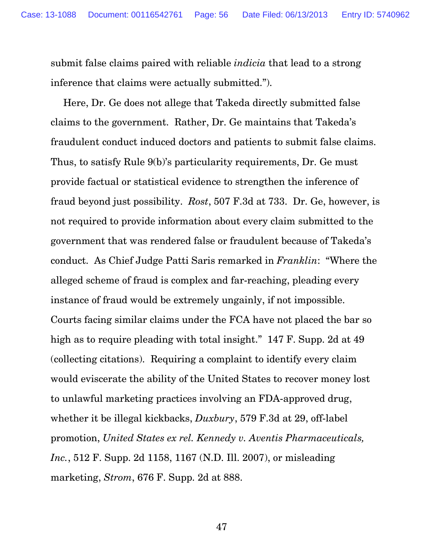submit false claims paired with reliable *indicia* that lead to a strong inference that claims were actually submitted.").

Here, Dr. Ge does not allege that Takeda directly submitted false claims to the government. Rather, Dr. Ge maintains that Takeda's fraudulent conduct induced doctors and patients to submit false claims. Thus, to satisfy Rule 9(b)'s particularity requirements, Dr. Ge must provide factual or statistical evidence to strengthen the inference of fraud beyond just possibility. *Rost*, 507 F.3d at 733. Dr. Ge, however, is not required to provide information about every claim submitted to the government that was rendered false or fraudulent because of Takeda's conduct. As Chief Judge Patti Saris remarked in *Franklin*: "Where the alleged scheme of fraud is complex and far-reaching, pleading every instance of fraud would be extremely ungainly, if not impossible. Courts facing similar claims under the FCA have not placed the bar so high as to require pleading with total insight." 147 F. Supp. 2d at 49 (collecting citations). Requiring a complaint to identify every claim would eviscerate the ability of the United States to recover money lost to unlawful marketing practices involving an FDA-approved drug, whether it be illegal kickbacks, *Duxbury*, 579 F.3d at 29, off-label promotion, *United States ex rel. Kennedy v. Aventis Pharmaceuticals, Inc.*, 512 F. Supp. 2d 1158, 1167 (N.D. Ill. 2007), or misleading marketing, *Strom*, 676 F. Supp. 2d at 888.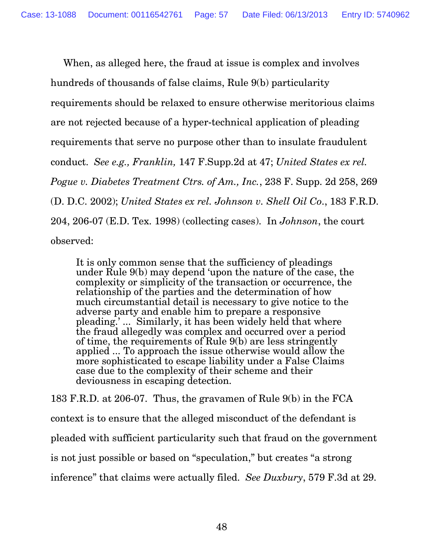When, as alleged here, the fraud at issue is complex and involves hundreds of thousands of false claims, Rule 9(b) particularity requirements should be relaxed to ensure otherwise meritorious claims are not rejected because of a hyper-technical application of pleading requirements that serve no purpose other than to insulate fraudulent conduct. *See e.g., Franklin,* 147 F.Supp.2d at 47; *United States ex rel. Pogue v. Diabetes Treatment Ctrs. of Am., Inc.*, 238 F. Supp. 2d 258, 269 (D. D.C. 2002); *United States ex rel. Johnson v. Shell Oil Co*., 183 F.R.D. 204, 206-07 (E.D. Tex. 1998) (collecting cases). In *Johnson*, the court observed:

It is only common sense that the sufficiency of pleadings under Rule 9(b) may depend 'upon the nature of the case, the complexity or simplicity of the transaction or occurrence, the relationship of the parties and the determination of how much circumstantial detail is necessary to give notice to the adverse party and enable him to prepare a responsive pleading.' ... Similarly, it has been widely held that where the fraud allegedly was complex and occurred over a period of time, the requirements of Rule 9(b) are less stringently applied ... To approach the issue otherwise would allow the more sophisticated to escape liability under a False Claims case due to the complexity of their scheme and their deviousness in escaping detection.

183 F.R.D. at 206-07. Thus, the gravamen of Rule 9(b) in the FCA context is to ensure that the alleged misconduct of the defendant is pleaded with sufficient particularity such that fraud on the government is not just possible or based on "speculation," but creates "a strong inference" that claims were actually filed. *See Duxbury*, 579 F.3d at 29.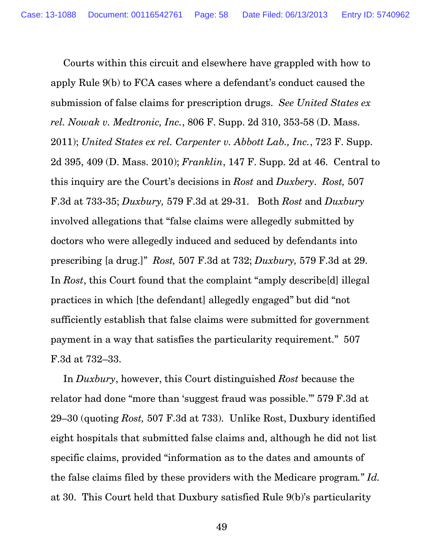Courts within this circuit and elsewhere have grappled with how to apply Rule 9(b) to FCA cases where a defendant's conduct caused the submission of false claims for prescription drugs. *See United States ex rel. Nowak v. Medtronic, Inc.*, 806 F. Supp. 2d 310, 353-58 (D. Mass. 2011); *United States ex rel. Carpenter v. Abbott Lab., Inc.*, 723 F. Supp. 2d 395, 409 (D. Mass. 2010); *Franklin*, 147 F. Supp. 2d at 46. Central to this inquiry are the Court's decisions in *Rost* and *Duxbery*. *Rost,* 507 F.3d at 733-35; *Duxbury,* 579 F.3d at 29-31. Both *Rost* and *Duxbury* involved allegations that "false claims were allegedly submitted by doctors who were allegedly induced and seduced by defendants into prescribing [a drug.]" *Rost,* 507 F.3d at 732; *Duxbury,* 579 F.3d at 29. In *Rost*, this Court found that the complaint "amply describe[d] illegal practices in which [the defendant] allegedly engaged" but did "not sufficiently establish that false claims were submitted for government payment in a way that satisfies the particularity requirement." 507 F.3d at 732–33.

 In *Duxbury*, however, this Court distinguished *Rost* because the relator had done "more than 'suggest fraud was possible.'" 579 F.3d at 29–30 (quoting *Rost,* 507 F.3d at 733). Unlike Rost, Duxbury identified eight hospitals that submitted false claims and, although he did not list specific claims, provided "information as to the dates and amounts of the false claims filed by these providers with the Medicare program*.*" *Id.* at 30. This Court held that Duxbury satisfied Rule 9(b)'s particularity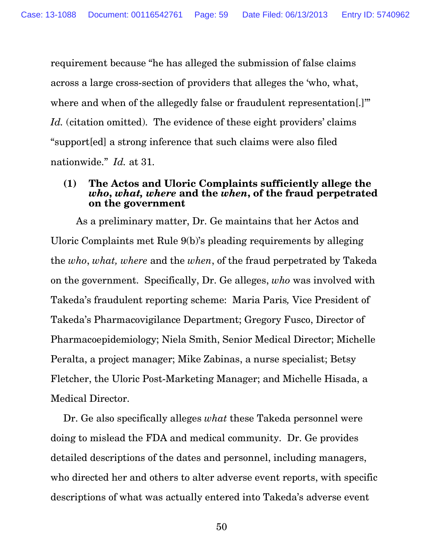requirement because "he has alleged the submission of false claims across a large cross-section of providers that alleges the 'who, what, where and when of the allegedly false or fraudulent representation. Id. (citation omitted). The evidence of these eight providers' claims "support[ed] a strong inference that such claims were also filed nationwide." *Id.* at 31.

#### **(1) The Actos and Uloric Complaints sufficiently allege the** *who***,** *what, where* **and the** *when***, of the fraud perpetrated on the government**

 As a preliminary matter, Dr. Ge maintains that her Actos and Uloric Complaints met Rule 9(b)'s pleading requirements by alleging the *who*, *what, where* and the *when*, of the fraud perpetrated by Takeda on the government. Specifically, Dr. Ge alleges, *who* was involved with Takeda's fraudulent reporting scheme: Maria Paris*,* Vice President of Takeda's Pharmacovigilance Department; Gregory Fusco, Director of Pharmacoepidemiology; Niela Smith, Senior Medical Director; Michelle Peralta, a project manager; Mike Zabinas, a nurse specialist; Betsy Fletcher, the Uloric Post-Marketing Manager; and Michelle Hisada, a Medical Director.

Dr. Ge also specifically alleges *what* these Takeda personnel were doing to mislead the FDA and medical community. Dr. Ge provides detailed descriptions of the dates and personnel, including managers, who directed her and others to alter adverse event reports, with specific descriptions of what was actually entered into Takeda's adverse event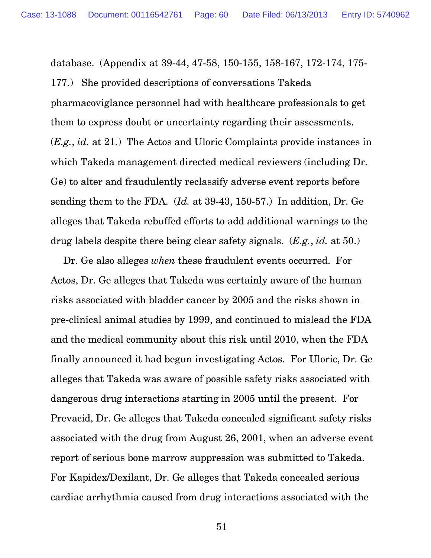database. (Appendix at 39-44, 47-58, 150-155, 158-167, 172-174, 175- 177.) She provided descriptions of conversations Takeda pharmacoviglance personnel had with healthcare professionals to get them to express doubt or uncertainty regarding their assessments. (*E.g.*, *id.* at 21.) The Actos and Uloric Complaints provide instances in which Takeda management directed medical reviewers (including Dr. Ge) to alter and fraudulently reclassify adverse event reports before sending them to the FDA. (*Id.* at 39-43, 150-57.) In addition, Dr. Ge alleges that Takeda rebuffed efforts to add additional warnings to the drug labels despite there being clear safety signals. (*E.g.*, *id.* at 50.)

Dr. Ge also alleges *when* these fraudulent events occurred. For Actos, Dr. Ge alleges that Takeda was certainly aware of the human risks associated with bladder cancer by 2005 and the risks shown in pre-clinical animal studies by 1999, and continued to mislead the FDA and the medical community about this risk until 2010, when the FDA finally announced it had begun investigating Actos. For Uloric, Dr. Ge alleges that Takeda was aware of possible safety risks associated with dangerous drug interactions starting in 2005 until the present. For Prevacid, Dr. Ge alleges that Takeda concealed significant safety risks associated with the drug from August 26, 2001, when an adverse event report of serious bone marrow suppression was submitted to Takeda. For Kapidex/Dexilant, Dr. Ge alleges that Takeda concealed serious cardiac arrhythmia caused from drug interactions associated with the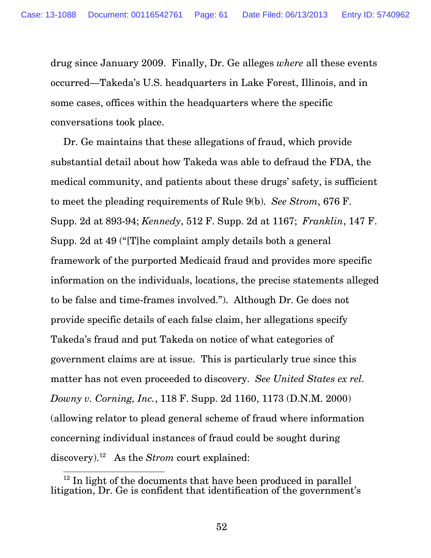drug since January 2009. Finally, Dr. Ge alleges *where* all these events occurred—Takeda's U.S. headquarters in Lake Forest, Illinois, and in some cases, offices within the headquarters where the specific conversations took place.

Dr. Ge maintains that these allegations of fraud, which provide substantial detail about how Takeda was able to defraud the FDA, the medical community, and patients about these drugs' safety, is sufficient to meet the pleading requirements of Rule 9(b). *See Strom*, 676 F. Supp. 2d at 893-94; *Kennedy*, 512 F. Supp. 2d at 1167; *Franklin*, 147 F. Supp. 2d at 49 ("[T]he complaint amply details both a general framework of the purported Medicaid fraud and provides more specific information on the individuals, locations, the precise statements alleged to be false and time-frames involved."). Although Dr. Ge does not provide specific details of each false claim, her allegations specify Takeda's fraud and put Takeda on notice of what categories of government claims are at issue. This is particularly true since this matter has not even proceeded to discovery. *See United States ex rel. Downy v. Corning, Inc.*, 118 F. Supp. 2d 1160, 1173 (D.N.M. 2000) (allowing relator to plead general scheme of fraud where information concerning individual instances of fraud could be sought during discovery).<sup>12</sup> As the *Strom* court explained:

 $\overline{a}$ <sup>12</sup> In light of the documents that have been produced in parallel litigation, Dr. Ge is confident that identification of the government's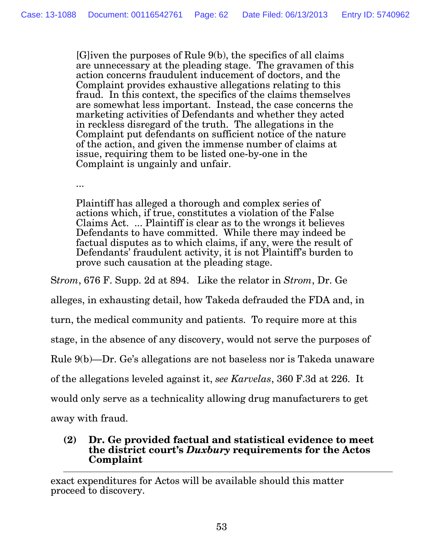[G]iven the purposes of Rule 9(b), the specifics of all claims are unnecessary at the pleading stage. The gravamen of this action concerns fraudulent inducement of doctors, and the Complaint provides exhaustive allegations relating to this fraud. In this context, the specifics of the claims themselves are somewhat less important. Instead, the case concerns the marketing activities of Defendants and whether they acted in reckless disregard of the truth. The allegations in the Complaint put defendants on sufficient notice of the nature of the action, and given the immense number of claims at issue, requiring them to be listed one-by-one in the Complaint is ungainly and unfair.

...

Plaintiff has alleged a thorough and complex series of actions which, if true, constitutes a violation of the False Claims Act. ... Plaintiff is clear as to the wrongs it believes Defendants to have committed. While there may indeed be factual disputes as to which claims, if any, were the result of Defendants' fraudulent activity, it is not Plaintiff's burden to prove such causation at the pleading stage.

S*trom*, 676 F. Supp. 2d at 894. Like the relator in *Strom*, Dr. Ge

alleges, in exhausting detail, how Takeda defrauded the FDA and, in

turn, the medical community and patients. To require more at this

stage, in the absence of any discovery, would not serve the purposes of

Rule 9(b)—Dr. Ge's allegations are not baseless nor is Takeda unaware

of the allegations leveled against it, *see Karvelas*, 360 F.3d at 226. It

would only serve as a technicality allowing drug manufacturers to get

away with fraud.

#### **(2) Dr. Ge provided factual and statistical evidence to meet the district court's** *Duxbury* **requirements for the Actos Complaint**

 $\overline{a}$ exact expenditures for Actos will be available should this matter proceed to discovery.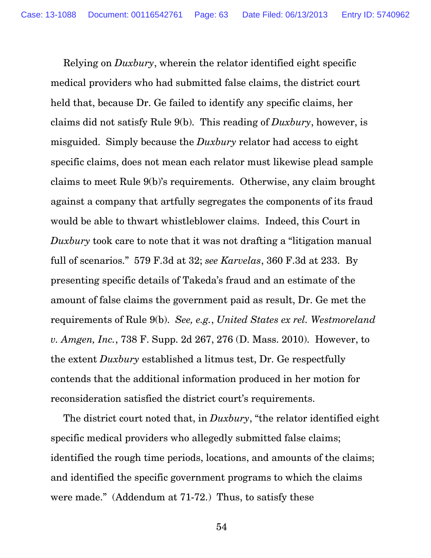Relying on *Duxbury*, wherein the relator identified eight specific medical providers who had submitted false claims, the district court held that, because Dr. Ge failed to identify any specific claims, her claims did not satisfy Rule 9(b). This reading of *Duxbury*, however, is misguided. Simply because the *Duxbury* relator had access to eight specific claims, does not mean each relator must likewise plead sample claims to meet Rule 9(b)'s requirements. Otherwise, any claim brought against a company that artfully segregates the components of its fraud would be able to thwart whistleblower claims. Indeed, this Court in *Duxbury* took care to note that it was not drafting a "litigation manual full of scenarios." 579 F.3d at 32; *see Karvelas*, 360 F.3d at 233. By presenting specific details of Takeda's fraud and an estimate of the amount of false claims the government paid as result, Dr. Ge met the requirements of Rule 9(b). *See, e.g.*, *United States ex rel. Westmoreland v. Amgen, Inc.*, 738 F. Supp. 2d 267, 276 (D. Mass. 2010). However, to the extent *Duxbury* established a litmus test, Dr. Ge respectfully contends that the additional information produced in her motion for reconsideration satisfied the district court's requirements.

The district court noted that, in *Duxbury*, "the relator identified eight specific medical providers who allegedly submitted false claims; identified the rough time periods, locations, and amounts of the claims; and identified the specific government programs to which the claims were made." (Addendum at 71-72.) Thus, to satisfy these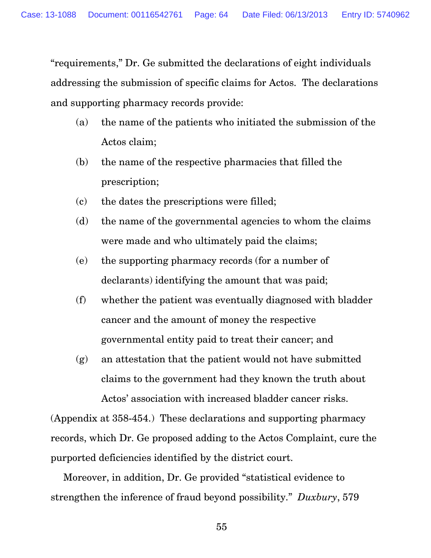"requirements," Dr. Ge submitted the declarations of eight individuals addressing the submission of specific claims for Actos. The declarations and supporting pharmacy records provide:

- (a) the name of the patients who initiated the submission of the Actos claim;
- (b) the name of the respective pharmacies that filled the prescription;
- (c) the dates the prescriptions were filled;
- (d) the name of the governmental agencies to whom the claims were made and who ultimately paid the claims;
- (e) the supporting pharmacy records (for a number of declarants) identifying the amount that was paid;
- (f) whether the patient was eventually diagnosed with bladder cancer and the amount of money the respective governmental entity paid to treat their cancer; and
- (g) an attestation that the patient would not have submitted claims to the government had they known the truth about Actos' association with increased bladder cancer risks.

(Appendix at 358-454.) These declarations and supporting pharmacy records, which Dr. Ge proposed adding to the Actos Complaint, cure the purported deficiencies identified by the district court.

 Moreover, in addition, Dr. Ge provided "statistical evidence to strengthen the inference of fraud beyond possibility." *Duxbury*, 579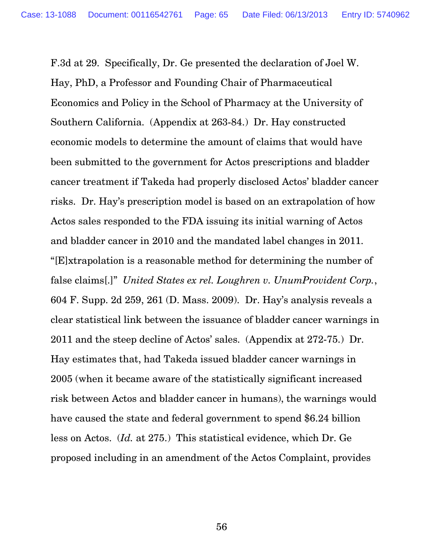F.3d at 29. Specifically, Dr. Ge presented the declaration of Joel W. Hay, PhD, a Professor and Founding Chair of Pharmaceutical Economics and Policy in the School of Pharmacy at the University of Southern California. (Appendix at 263-84.) Dr. Hay constructed economic models to determine the amount of claims that would have been submitted to the government for Actos prescriptions and bladder cancer treatment if Takeda had properly disclosed Actos' bladder cancer risks. Dr. Hay's prescription model is based on an extrapolation of how Actos sales responded to the FDA issuing its initial warning of Actos and bladder cancer in 2010 and the mandated label changes in 2011. "[E]xtrapolation is a reasonable method for determining the number of false claims[.]" *United States ex rel. Loughren v. UnumProvident Corp.*, 604 F. Supp. 2d 259, 261 (D. Mass. 2009). Dr. Hay's analysis reveals a clear statistical link between the issuance of bladder cancer warnings in 2011 and the steep decline of Actos' sales. (Appendix at 272-75.) Dr. Hay estimates that, had Takeda issued bladder cancer warnings in 2005 (when it became aware of the statistically significant increased risk between Actos and bladder cancer in humans), the warnings would have caused the state and federal government to spend \$6.24 billion less on Actos. (*Id.* at 275.) This statistical evidence, which Dr. Ge proposed including in an amendment of the Actos Complaint, provides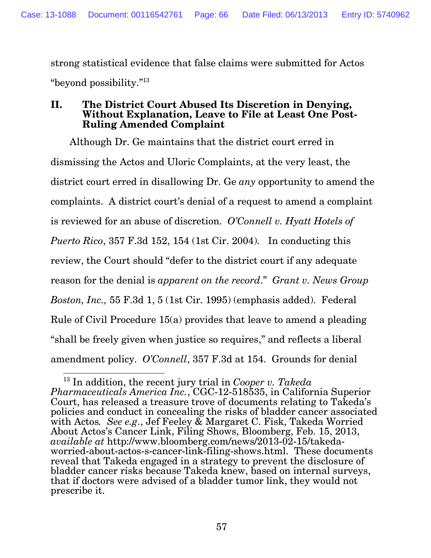strong statistical evidence that false claims were submitted for Actos "beyond possibility."<sup>13</sup>

#### **II. The District Court Abused Its Discretion in Denying, Without Explanation, Leave to File at Least One Post-Ruling Amended Complaint**

 Although Dr. Ge maintains that the district court erred in dismissing the Actos and Uloric Complaints, at the very least, the district court erred in disallowing Dr. Ge *any* opportunity to amend the complaints. A district court's denial of a request to amend a complaint is reviewed for an abuse of discretion. *O'Connell v. Hyatt Hotels of Puerto Rico*, 357 F.3d 152, 154 (1st Cir. 2004). In conducting this review, the Court should "defer to the district court if any adequate reason for the denial is *apparent on the record*." *Grant v. News Group Boston, Inc.,* 55 F.3d 1, 5 (1st Cir. 1995) (emphasis added). Federal Rule of Civil Procedure 15(a) provides that leave to amend a pleading "shall be freely given when justice so requires," and reflects a liberal amendment policy. *O'Connell*, 357 F.3d at 154. Grounds for denial

<sup>-</sup><sup>13</sup> In addition, the recent jury trial in *Cooper v. Takeda Pharmaceuticals America Inc.*, CGC-12-518535, in California Superior Court, has released a treasure trove of documents relating to Takeda's policies and conduct in concealing the risks of bladder cancer associated with Actos*. See e.g*., Jef Feeley & Margaret C. Fisk, Takeda Worried About Actos's Cancer Link, Filing Shows, Bloomberg, Feb. 15, 2013, *available at* http://www.bloomberg.com/news/2013-02-15/takedaworried-about-actos-s-cancer-link-filing-shows.html. These documents reveal that Takeda engaged in a strategy to prevent the disclosure of bladder cancer risks because Takeda knew, based on internal surveys, that if doctors were advised of a bladder tumor link, they would not prescribe it.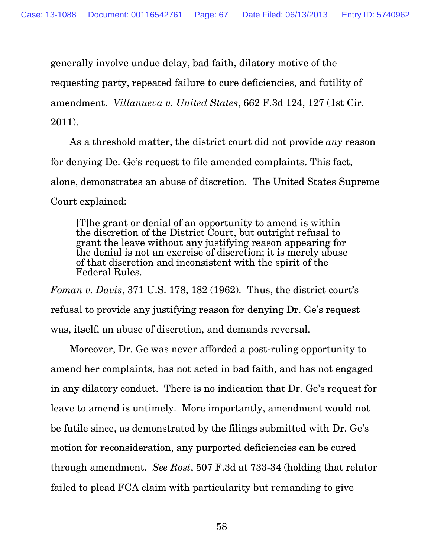generally involve undue delay, bad faith, dilatory motive of the

requesting party, repeated failure to cure deficiencies, and futility of

amendment. *Villanueva v. United States*, 662 F.3d 124, 127 (1st Cir.

#### 2011).

 As a threshold matter, the district court did not provide *any* reason for denying De. Ge's request to file amended complaints. This fact, alone, demonstrates an abuse of discretion. The United States Supreme Court explained:

[T]he grant or denial of an opportunity to amend is within the discretion of the District Court, but outright refusal to grant the leave without any justifying reason appearing for the denial is not an exercise of discretion; it is merely abuse of that discretion and inconsistent with the spirit of the Federal Rules.

*Foman v. Davis*, 371 U.S. 178, 182 (1962). Thus, the district court's refusal to provide any justifying reason for denying Dr. Ge's request was, itself, an abuse of discretion, and demands reversal.

 Moreover, Dr. Ge was never afforded a post-ruling opportunity to amend her complaints, has not acted in bad faith, and has not engaged in any dilatory conduct. There is no indication that Dr. Ge's request for leave to amend is untimely. More importantly, amendment would not be futile since, as demonstrated by the filings submitted with Dr. Ge's motion for reconsideration, any purported deficiencies can be cured through amendment. *See Rost*, 507 F.3d at 733-34 (holding that relator failed to plead FCA claim with particularity but remanding to give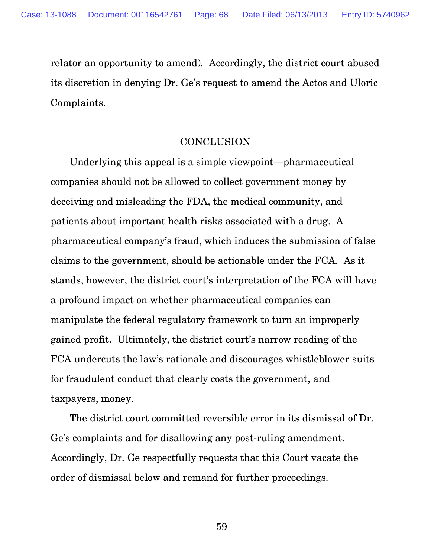relator an opportunity to amend). Accordingly, the district court abused its discretion in denying Dr. Ge's request to amend the Actos and Uloric Complaints.

#### **CONCLUSION**

 Underlying this appeal is a simple viewpoint—pharmaceutical companies should not be allowed to collect government money by deceiving and misleading the FDA, the medical community, and patients about important health risks associated with a drug. A pharmaceutical company's fraud, which induces the submission of false claims to the government, should be actionable under the FCA. As it stands, however, the district court's interpretation of the FCA will have a profound impact on whether pharmaceutical companies can manipulate the federal regulatory framework to turn an improperly gained profit. Ultimately, the district court's narrow reading of the FCA undercuts the law's rationale and discourages whistleblower suits for fraudulent conduct that clearly costs the government, and taxpayers, money.

 The district court committed reversible error in its dismissal of Dr. Ge's complaints and for disallowing any post-ruling amendment. Accordingly, Dr. Ge respectfully requests that this Court vacate the order of dismissal below and remand for further proceedings.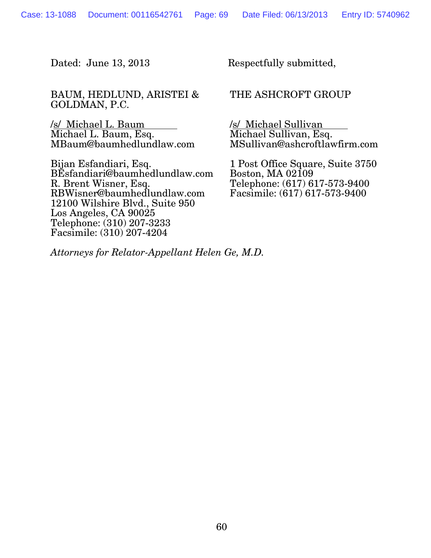BAUM, HEDLUND, ARISTEI & GOLDMAN, P.C.

/s/ Michael L. Baum Michael L. Baum, Esq. MBaum@baumhedlundlaw.com

Bijan Esfandiari, Esq. BEsfandiari@baumhedlundlaw.com R. Brent Wisner, Esq. RBWisner@baumhedlundlaw.com 12100 Wilshire Blvd., Suite 950 Los Angeles, CA 90025 Telephone: (310) 207-3233 Facsimile: (310) 207-4204

Dated: June 13, 2013 Respectfully submitted,

THE ASHCROFT GROUP

/s/ Michael Sullivan Michael Sullivan, Esq. MSullivan@ashcroftlawfirm.com

1 Post Office Square, Suite 3750 Boston, MA 02109 Telephone: (617) 617-573-9400 Facsimile: (617) 617-573-9400

*Attorneys for Relator-Appellant Helen Ge, M.D.*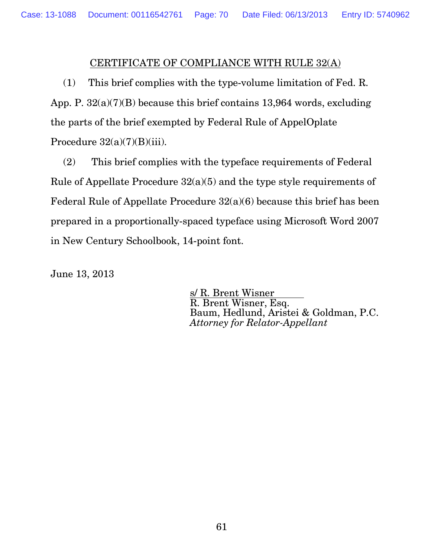## CERTIFICATE OF COMPLIANCE WITH RULE 32(A)

(1) This brief complies with the type-volume limitation of Fed. R. App. P. 32(a)(7)(B) because this brief contains 13,964 words, excluding the parts of the brief exempted by Federal Rule of AppelOplate Procedure  $32(a)(7)(B)(iii)$ .

(2) This brief complies with the typeface requirements of Federal Rule of Appellate Procedure 32(a)(5) and the type style requirements of Federal Rule of Appellate Procedure 32(a)(6) because this brief has been prepared in a proportionally-spaced typeface using Microsoft Word 2007 in New Century Schoolbook, 14-point font.

June 13, 2013

 s/ R. Brent Wisner R. Brent Wisner, Esq. Baum, Hedlund, Aristei & Goldman, P.C. *Attorney for Relator-Appellant*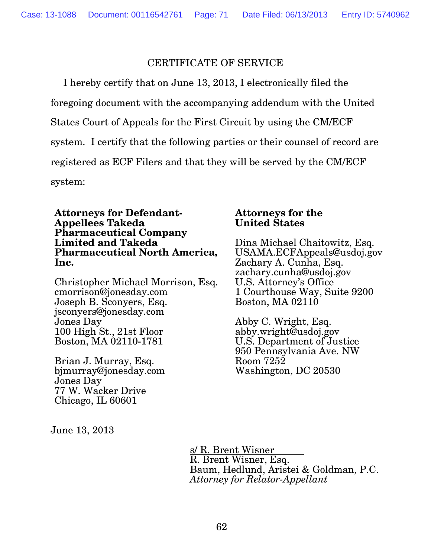## CERTIFICATE OF SERVICE

I hereby certify that on June 13, 2013, I electronically filed the foregoing document with the accompanying addendum with the United States Court of Appeals for the First Circuit by using the CM/ECF system. I certify that the following parties or their counsel of record are registered as ECF Filers and that they will be served by the CM/ECF system:

**Attorneys for Defendant-Appellees Takeda Pharmaceutical Company Limited and Takeda Pharmaceutical North America, Inc.** 

Christopher Michael Morrison, Esq. cmorrison@jonesday.com Joseph B. Sconyers, Esq. jsconyers@jonesday.com Jones Day 100 High St., 21st Floor Boston, MA 02110-1781

Brian J. Murray, Esq. bjmurray@jonesday.com Jones Day 77 W. Wacker Drive Chicago, IL 60601

# June 13, 2013

#### **Attorneys for the United States**

Dina Michael Chaitowitz, Esq. USAMA.ECFAppeals@usdoj.gov Zachary A. Cunha, Esq. zachary.cunha@usdoj.gov U.S. Attorney's Office 1 Courthouse Way, Suite 9200 Boston, MA 02110

Abby C. Wright, Esq. abby.wright@usdoj.gov U.S. Department of Justice 950 Pennsylvania Ave. NW Room 7252 Washington, DC 20530

 s/ R. Brent Wisner R. Brent Wisner, Esq. Baum, Hedlund, Aristei & Goldman, P.C. *Attorney for Relator-Appellant*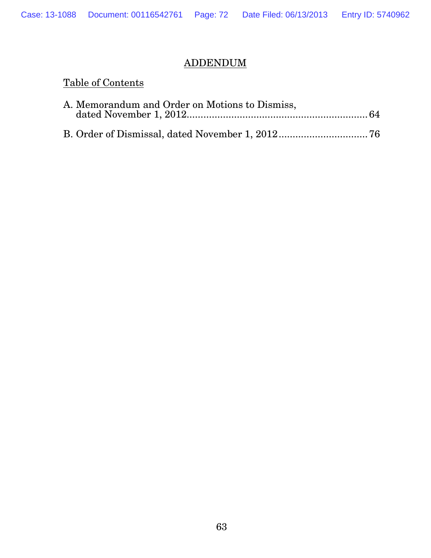## ADDENDUM

## Table of Contents

| A. Memorandum and Order on Motions to Dismiss, |  |
|------------------------------------------------|--|
|                                                |  |
|                                                |  |
|                                                |  |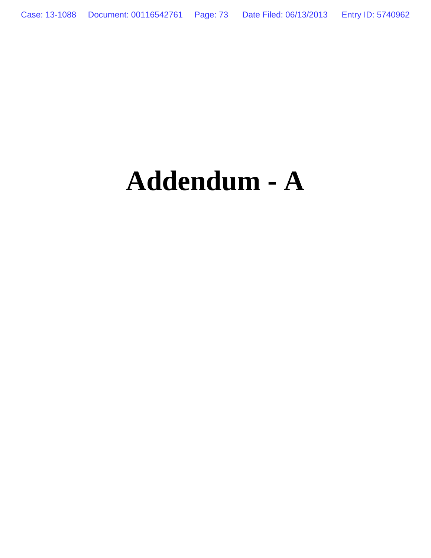# **Addendum - A**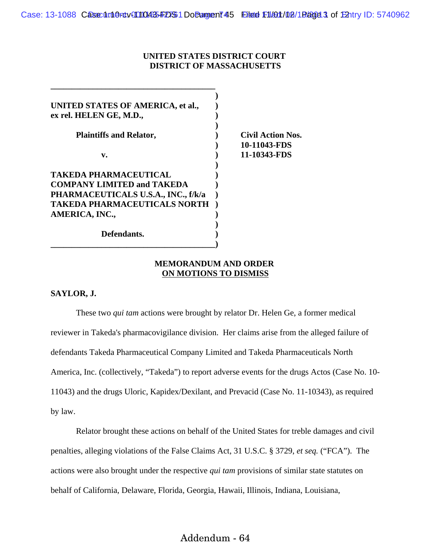## **UNITED STATES DISTRICT COURT DISTRICT OF MASSACHUSETTS**

| UNITED STATES OF AMERICA, et al.,<br>ex rel. HELEN GE, M.D.,             |                                          |
|--------------------------------------------------------------------------|------------------------------------------|
| <b>Plaintiffs and Relator,</b>                                           | <b>Civil Action Nos.</b><br>10-11043-FDS |
| v.                                                                       | 11-10343-FDS                             |
| TAKEDA PHARMACEUTICAL                                                    |                                          |
| <b>COMPANY LIMITED and TAKEDA</b><br>PHARMACEUTICALS U.S.A., INC., f/k/a |                                          |
| <b>TAKEDA PHARMACEUTICALS NORTH</b><br>AMERICA, INC.,                    |                                          |
| Defendants.                                                              |                                          |

### **MEMORANDUM AND ORDER ON MOTIONS TO DISMISS**

#### **SAYLOR, J.**

These two *qui tam* actions were brought by relator Dr. Helen Ge, a former medical reviewer in Takeda's pharmacovigilance division. Her claims arise from the alleged failure of defendants Takeda Pharmaceutical Company Limited and Takeda Pharmaceuticals North America, Inc. (collectively, "Takeda") to report adverse events for the drugs Actos (Case No. 10- 11043) and the drugs Uloric, Kapidex/Dexilant, and Prevacid (Case No. 11-10343), as required by law.

Relator brought these actions on behalf of the United States for treble damages and civil penalties, alleging violations of the False Claims Act, 31 U.S.C. § 3729, *et seq.* ("FCA"). The actions were also brought under the respective *qui tam* provisions of similar state statutes on behalf of California, Delaware, Florida, Georgia, Hawaii, Illinois, Indiana, Louisiana,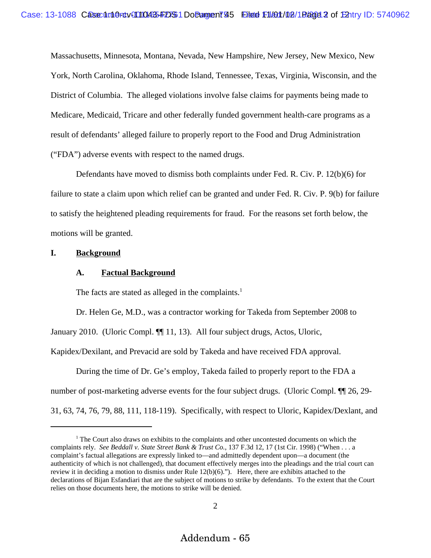Massachusetts, Minnesota, Montana, Nevada, New Hampshire, New Jersey, New Mexico, New York, North Carolina, Oklahoma, Rhode Island, Tennessee, Texas, Virginia, Wisconsin, and the District of Columbia. The alleged violations involve false claims for payments being made to Medicare, Medicaid, Tricare and other federally funded government health-care programs as a result of defendants' alleged failure to properly report to the Food and Drug Administration ("FDA") adverse events with respect to the named drugs.

Defendants have moved to dismiss both complaints under Fed. R. Civ. P. 12(b)(6) for failure to state a claim upon which relief can be granted and under Fed. R. Civ. P. 9(b) for failure to satisfy the heightened pleading requirements for fraud. For the reasons set forth below, the motions will be granted.

### **I. Background**

#### **A. Factual Background**

The facts are stated as alleged in the complaints.<sup>1</sup>

Dr. Helen Ge, M.D., was a contractor working for Takeda from September 2008 to January 2010. (Uloric Compl. ¶[11, 13). All four subject drugs, Actos, Uloric, Kapidex/Dexilant, and Prevacid are sold by Takeda and have received FDA approval.

During the time of Dr. Ge's employ, Takeda failed to properly report to the FDA a number of post-marketing adverse events for the four subject drugs. (Uloric Compl. ¶¶ 26, 29- 31, 63, 74, 76, 79, 88, 111, 118-119). Specifically, with respect to Uloric, Kapidex/Dexlant, and

<sup>&</sup>lt;sup>1</sup> The Court also draws on exhibits to the complaints and other uncontested documents on which the complaints rely. *See Beddall v. State Street Bank & Trust Co.*, 137 F.3d 12, 17 (1st Cir. 1998) ("When . . . a complaint's factual allegations are expressly linked to—and admittedly dependent upon—a document (the authenticity of which is not challenged), that document effectively merges into the pleadings and the trial court can review it in deciding a motion to dismiss under Rule 12(b)(6)."). Here, there are exhibits attached to the declarations of Bijan Esfandiari that are the subject of motions to strike by defendants. To the extent that the Court relies on those documents here, the motions to strike will be denied.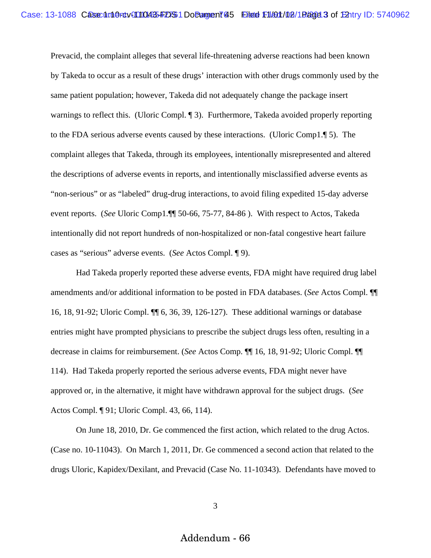Prevacid, the complaint alleges that several life-threatening adverse reactions had been known by Takeda to occur as a result of these drugs' interaction with other drugs commonly used by the same patient population; however, Takeda did not adequately change the package insert warnings to reflect this. (Uloric Compl. 1). Furthermore, Takeda avoided properly reporting to the FDA serious adverse events caused by these interactions. (Uloric Comp1.¶ 5). The complaint alleges that Takeda, through its employees, intentionally misrepresented and altered the descriptions of adverse events in reports, and intentionally misclassified adverse events as "non-serious" or as "labeled" drug-drug interactions, to avoid filing expedited 15-day adverse event reports. (*See* Uloric Comp1.¶¶ 50-66, 75-77, 84-86 ). With respect to Actos, Takeda intentionally did not report hundreds of non-hospitalized or non-fatal congestive heart failure cases as "serious" adverse events. (*See* Actos Compl. ¶ 9).

 Had Takeda properly reported these adverse events, FDA might have required drug label amendments and/or additional information to be posted in FDA databases. (*See* Actos Compl. ¶¶ 16, 18, 91-92; Uloric Compl. ¶¶ 6, 36, 39, 126-127). These additional warnings or database entries might have prompted physicians to prescribe the subject drugs less often, resulting in a decrease in claims for reimbursement. (*See* Actos Comp. ¶¶ 16, 18, 91-92; Uloric Compl. ¶¶ 114). Had Takeda properly reported the serious adverse events, FDA might never have approved or, in the alternative, it might have withdrawn approval for the subject drugs. (*See* Actos Compl. ¶ 91; Uloric Compl. 43, 66, 114).

On June 18, 2010, Dr. Ge commenced the first action, which related to the drug Actos. (Case no. 10-11043). On March 1, 2011, Dr. Ge commenced a second action that related to the drugs Uloric, Kapidex/Dexilant, and Prevacid (Case No. 11-10343). Defendants have moved to

3

Addendum - 66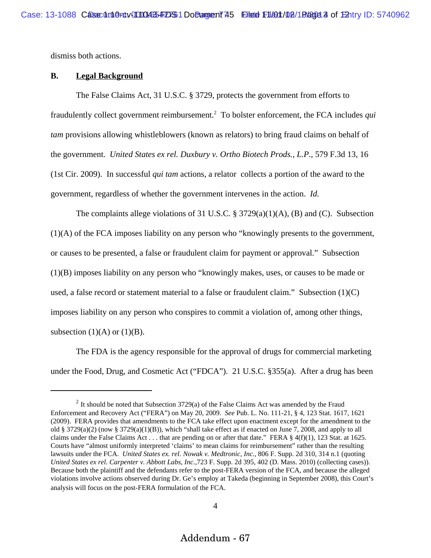dismiss both actions.

#### **B. Legal Background**

The False Claims Act, 31 U.S.C. § 3729, protects the government from efforts to fraudulently collect government reimbursement.2 To bolster enforcement, the FCA includes *qui tam* provisions allowing whistleblowers (known as relators) to bring fraud claims on behalf of the government. *United States ex rel. Duxbury v. Ortho Biotech Prods., L.P.*, 579 F.3d 13, 16 (1st Cir. 2009). In successful *qui tam* actions, a relator collects a portion of the award to the government, regardless of whether the government intervenes in the action. *Id.*

The complaints allege violations of 31 U.S.C.  $\S 3729(a)(1)(A)$ , (B) and (C). Subsection (1)(A) of the FCA imposes liability on any person who "knowingly presents to the government, or causes to be presented, a false or fraudulent claim for payment or approval." Subsection (1)(B) imposes liability on any person who "knowingly makes, uses, or causes to be made or used, a false record or statement material to a false or fraudulent claim." Subsection  $(1)(C)$ imposes liability on any person who conspires to commit a violation of, among other things, subsection  $(1)(A)$  or  $(1)(B)$ .

The FDA is the agency responsible for the approval of drugs for commercial marketing under the Food, Drug, and Cosmetic Act ("FDCA"). 21 U.S.C. §355(a). After a drug has been

 $2$  It should be noted that Subsection 3729(a) of the False Claims Act was amended by the Fraud Enforcement and Recovery Act ("FERA") on May 20, 2009. *See* Pub. L. No. 111-21, § 4, 123 Stat. 1617, 1621 (2009). FERA provides that amendments to the FCA take effect upon enactment except for the amendment to the old § 3729(a)(2) (now § 3729(a)(1)(B)), which "shall take effect as if enacted on June 7, 2008, and apply to all claims under the False Claims Act . . . that are pending on or after that date." FERA § 4(f)(1), 123 Stat. at 1625. Courts have "almost uniformly interpreted 'claims' to mean claims for reimbursement" rather than the resulting lawsuits under the FCA. *United States ex. rel. Nowak v. Medtronic, Inc.,* 806 F. Supp. 2d 310, 314 n.1 (quoting *United States ex rel. Carpenter v. Abbott Labs, Inc.,*723 F. Supp. 2d 395, 402 (D. Mass. 2010) (collecting cases)). Because both the plaintiff and the defendants refer to the post-FERA version of the FCA, and because the alleged violations involve actions observed during Dr. Ge's employ at Takeda (beginning in September 2008), this Court's analysis will focus on the post-FERA formulation of the FCA.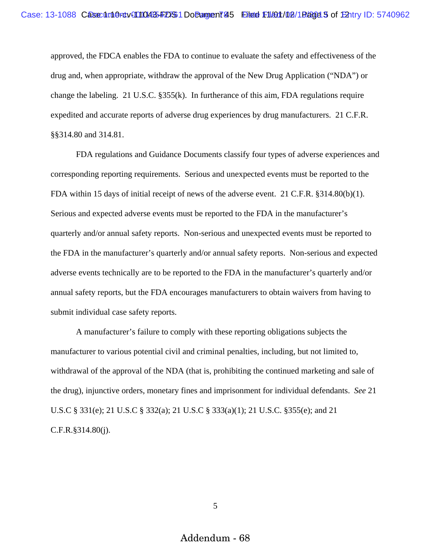approved, the FDCA enables the FDA to continue to evaluate the safety and effectiveness of the drug and, when appropriate, withdraw the approval of the New Drug Application ("NDA") or change the labeling. 21 U.S.C.  $\S 355(k)$ . In furtherance of this aim, FDA regulations require expedited and accurate reports of adverse drug experiences by drug manufacturers. 21 C.F.R. §§314.80 and 314.81.

FDA regulations and Guidance Documents classify four types of adverse experiences and corresponding reporting requirements. Serious and unexpected events must be reported to the FDA within 15 days of initial receipt of news of the adverse event. 21 C.F.R. §314.80(b)(1). Serious and expected adverse events must be reported to the FDA in the manufacturer's quarterly and/or annual safety reports. Non-serious and unexpected events must be reported to the FDA in the manufacturer's quarterly and/or annual safety reports. Non-serious and expected adverse events technically are to be reported to the FDA in the manufacturer's quarterly and/or annual safety reports, but the FDA encourages manufacturers to obtain waivers from having to submit individual case safety reports.

A manufacturer's failure to comply with these reporting obligations subjects the manufacturer to various potential civil and criminal penalties, including, but not limited to, withdrawal of the approval of the NDA (that is, prohibiting the continued marketing and sale of the drug), injunctive orders, monetary fines and imprisonment for individual defendants. *See* 21 U.S.C § 331(e); 21 U.S.C § 332(a); 21 U.S.C § 333(a)(1); 21 U.S.C. §355(e); and 21 C.F.R.§314.80(j).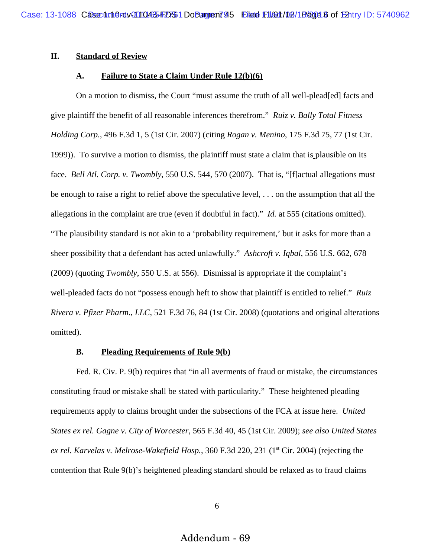## **II. Standard of Review**

#### **A. Failure to State a Claim Under Rule 12(b)(6)**

On a motion to dismiss, the Court "must assume the truth of all well-plead[ed] facts and give plaintiff the benefit of all reasonable inferences therefrom." *Ruiz v. Bally Total Fitness Holding Corp.*, 496 F.3d 1, 5 (1st Cir. 2007) (citing *Rogan v. Menino*, 175 F.3d 75, 77 (1st Cir. 1999)). To survive a motion to dismiss, the plaintiff must state a claim that is plausible on its face. *Bell Atl. Corp. v. Twombly*, 550 U.S. 544, 570 (2007). That is, "[f]actual allegations must be enough to raise a right to relief above the speculative level, . . . on the assumption that all the allegations in the complaint are true (even if doubtful in fact)." *Id.* at 555 (citations omitted). "The plausibility standard is not akin to a 'probability requirement,' but it asks for more than a sheer possibility that a defendant has acted unlawfully." *Ashcroft v. Iqbal*, 556 U.S. 662, 678 (2009) (quoting *Twombly*, 550 U.S. at 556). Dismissal is appropriate if the complaint's well-pleaded facts do not "possess enough heft to show that plaintiff is entitled to relief." *Ruiz Rivera v. Pfizer Pharm., LLC*, 521 F.3d 76, 84 (1st Cir. 2008) (quotations and original alterations omitted).

#### **B. Pleading Requirements of Rule 9(b)**

Fed. R. Civ. P. 9(b) requires that "in all averments of fraud or mistake, the circumstances constituting fraud or mistake shall be stated with particularity." These heightened pleading requirements apply to claims brought under the subsections of the FCA at issue here. *United States ex rel. Gagne v. City of Worcester*, 565 F.3d 40, 45 (1st Cir. 2009); *see also United States* ex rel. Karvelas v. Melrose-Wakefield Hosp., 360 F.3d 220, 231 (1<sup>st</sup> Cir. 2004) (rejecting the contention that Rule 9(b)'s heightened pleading standard should be relaxed as to fraud claims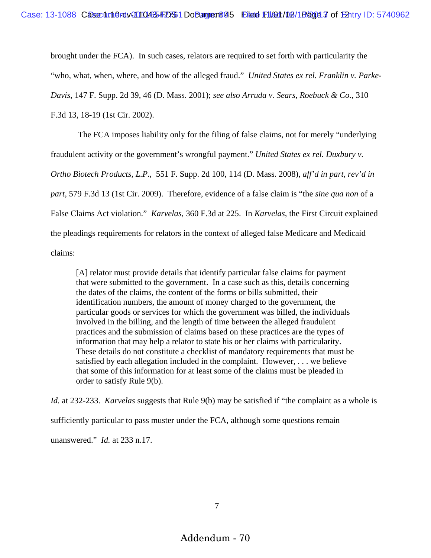brought under the FCA). In such cases, relators are required to set forth with particularity the "who, what, when, where, and how of the alleged fraud." *United States ex rel. Franklin v. Parke-Davis*, 147 F. Supp. 2d 39, 46 (D. Mass. 2001); *see also Arruda v. Sears, Roebuck & Co.*, 310 F.3d 13, 18-19 (1st Cir. 2002).

 The FCA imposes liability only for the filing of false claims, not for merely "underlying fraudulent activity or the government's wrongful payment." *United States ex rel. Duxbury v. Ortho Biotech Products, L.P.*, 551 F. Supp. 2d 100, 114 (D. Mass. 2008), *aff'd in part, rev'd in part*, 579 F.3d 13 (1st Cir. 2009). Therefore, evidence of a false claim is "the *sine qua non* of a False Claims Act violation." *Karvelas*, 360 F.3d at 225. In *Karvelas*, the First Circuit explained the pleadings requirements for relators in the context of alleged false Medicare and Medicaid claims:

[A] relator must provide details that identify particular false claims for payment that were submitted to the government. In a case such as this, details concerning the dates of the claims, the content of the forms or bills submitted, their identification numbers, the amount of money charged to the government, the particular goods or services for which the government was billed, the individuals involved in the billing, and the length of time between the alleged fraudulent practices and the submission of claims based on these practices are the types of information that may help a relator to state his or her claims with particularity. These details do not constitute a checklist of mandatory requirements that must be satisfied by each allegation included in the complaint. However, . . . we believe that some of this information for at least some of the claims must be pleaded in order to satisfy Rule 9(b).

*Id.* at 232-233. *Karvelas* suggests that Rule 9(b) may be satisfied if "the complaint as a whole is sufficiently particular to pass muster under the FCA, although some questions remain unanswered." *Id.* at 233 n.17.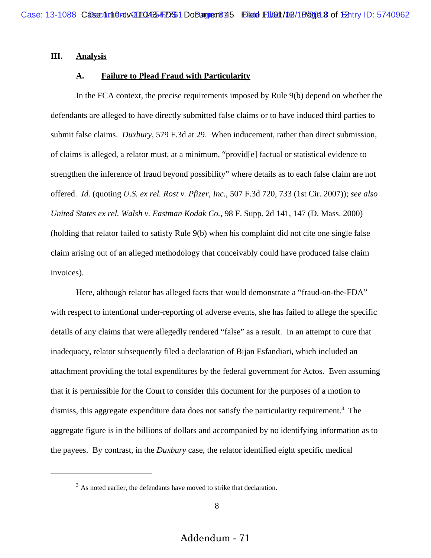#### **III. Analysis**

#### **A. Failure to Plead Fraud with Particularity**

In the FCA context, the precise requirements imposed by Rule 9(b) depend on whether the defendants are alleged to have directly submitted false claims or to have induced third parties to submit false claims. *Duxbury*, 579 F.3d at 29. When inducement, rather than direct submission, of claims is alleged, a relator must, at a minimum, "provid[e] factual or statistical evidence to strengthen the inference of fraud beyond possibility" where details as to each false claim are not offered. *Id.* (quoting *U.S. ex rel. Rost v. Pfizer, Inc.*, 507 F.3d 720, 733 (1st Cir. 2007)); *see also United States ex rel. Walsh v. Eastman Kodak Co.*, 98 F. Supp. 2d 141, 147 (D. Mass. 2000) (holding that relator failed to satisfy Rule 9(b) when his complaint did not cite one single false claim arising out of an alleged methodology that conceivably could have produced false claim invoices).

Here, although relator has alleged facts that would demonstrate a "fraud-on-the-FDA" with respect to intentional under-reporting of adverse events, she has failed to allege the specific details of any claims that were allegedly rendered "false" as a result. In an attempt to cure that inadequacy, relator subsequently filed a declaration of Bijan Esfandiari, which included an attachment providing the total expenditures by the federal government for Actos. Even assuming that it is permissible for the Court to consider this document for the purposes of a motion to dismiss, this aggregate expenditure data does not satisfy the particularity requirement.<sup>3</sup> The aggregate figure is in the billions of dollars and accompanied by no identifying information as to the payees. By contrast, in the *Duxbury* case, the relator identified eight specific medical

 $3$  As noted earlier, the defendants have moved to strike that declaration.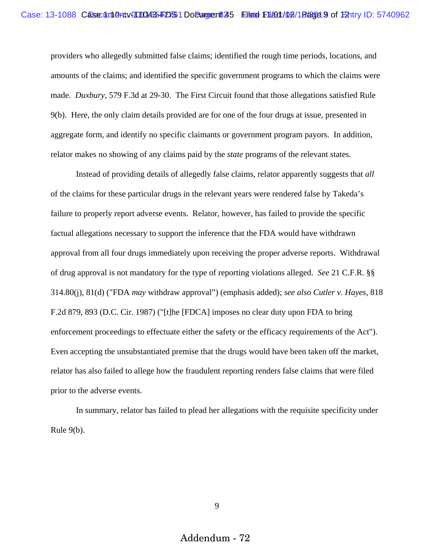providers who allegedly submitted false claims; identified the rough time periods, locations, and amounts of the claims; and identified the specific government programs to which the claims were made. *Duxbury,* 579 F.3d at 29-30. The First Circuit found that those allegations satisfied Rule 9(b). Here, the only claim details provided are for one of the four drugs at issue, presented in aggregate form, and identify no specific claimants or government program payors. In addition, relator makes no showing of any claims paid by the *state* programs of the relevant states.

Instead of providing details of allegedly false claims, relator apparently suggests that *all* of the claims for these particular drugs in the relevant years were rendered false by Takeda's failure to properly report adverse events. Relator, however, has failed to provide the specific factual allegations necessary to support the inference that the FDA would have withdrawn approval from all four drugs immediately upon receiving the proper adverse reports. Withdrawal of drug approval is not mandatory for the type of reporting violations alleged. *See* 21 C.F.R. §§ 314.80(j), 81(d) ("FDA *may* withdraw approval") (emphasis added); *see also Cutler v. Hayes*, 818 F.2d 879, 893 (D.C. Cir. 1987) ("[t]he [FDCA] imposes no clear duty upon FDA to bring enforcement proceedings to effectuate either the safety or the efficacy requirements of the Act"). Even accepting the unsubstantiated premise that the drugs would have been taken off the market, relator has also failed to allege how the fraudulent reporting renders false claims that were filed prior to the adverse events.

In summary, relator has failed to plead her allegations with the requisite specificity under Rule 9(b).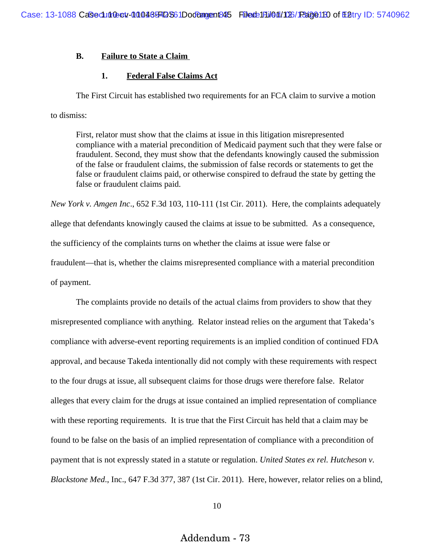### **B. Failure to State a Claim**

### **1. Federal False Claims Act**

The First Circuit has established two requirements for an FCA claim to survive a motion to dismiss:

First, relator must show that the claims at issue in this litigation misrepresented compliance with a material precondition of Medicaid payment such that they were false or fraudulent. Second, they must show that the defendants knowingly caused the submission of the false or fraudulent claims, the submission of false records or statements to get the false or fraudulent claims paid, or otherwise conspired to defraud the state by getting the false or fraudulent claims paid.

*New York v. Amgen Inc*., 652 F.3d 103, 110-111 (1st Cir. 2011). Here, the complaints adequately allege that defendants knowingly caused the claims at issue to be submitted. As a consequence, the sufficiency of the complaints turns on whether the claims at issue were false or fraudulent—that is, whether the claims misrepresented compliance with a material precondition of payment.

The complaints provide no details of the actual claims from providers to show that they misrepresented compliance with anything. Relator instead relies on the argument that Takeda's compliance with adverse-event reporting requirements is an implied condition of continued FDA approval, and because Takeda intentionally did not comply with these requirements with respect to the four drugs at issue, all subsequent claims for those drugs were therefore false. Relator alleges that every claim for the drugs at issue contained an implied representation of compliance with these reporting requirements. It is true that the First Circuit has held that a claim may be found to be false on the basis of an implied representation of compliance with a precondition of payment that is not expressly stated in a statute or regulation. *United States ex rel. Hutcheson v. Blackstone Med*., Inc., 647 F.3d 377, 387 (1st Cir. 2011). Here, however, relator relies on a blind,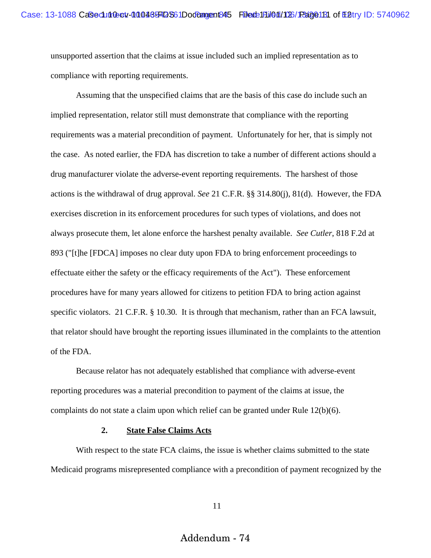unsupported assertion that the claims at issue included such an implied representation as to compliance with reporting requirements.

Assuming that the unspecified claims that are the basis of this case do include such an implied representation, relator still must demonstrate that compliance with the reporting requirements was a material precondition of payment. Unfortunately for her, that is simply not the case. As noted earlier, the FDA has discretion to take a number of different actions should a drug manufacturer violate the adverse-event reporting requirements. The harshest of those actions is the withdrawal of drug approval. *See* 21 C.F.R. §§ 314.80(j), 81(d). However, the FDA exercises discretion in its enforcement procedures for such types of violations, and does not always prosecute them, let alone enforce the harshest penalty available. *See Cutler*, 818 F.2d at 893 ("[t]he [FDCA] imposes no clear duty upon FDA to bring enforcement proceedings to effectuate either the safety or the efficacy requirements of the Act"). These enforcement procedures have for many years allowed for citizens to petition FDA to bring action against specific violators. 21 C.F.R. § 10.30*.* It is through that mechanism, rather than an FCA lawsuit, that relator should have brought the reporting issues illuminated in the complaints to the attention of the FDA.

Because relator has not adequately established that compliance with adverse-event reporting procedures was a material precondition to payment of the claims at issue, the complaints do not state a claim upon which relief can be granted under Rule 12(b)(6).

#### **2. State False Claims Acts**

With respect to the state FCA claims, the issue is whether claims submitted to the state Medicaid programs misrepresented compliance with a precondition of payment recognized by the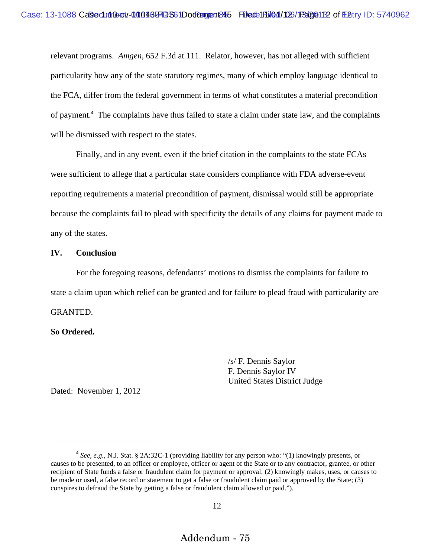relevant programs. *Amgen*, 652 F.3d at 111. Relator, however, has not alleged with sufficient particularity how any of the state statutory regimes, many of which employ language identical to the FCA, differ from the federal government in terms of what constitutes a material precondition of payment.<sup>4</sup> The complaints have thus failed to state a claim under state law, and the complaints will be dismissed with respect to the states.

Finally, and in any event, even if the brief citation in the complaints to the state FCAs were sufficient to allege that a particular state considers compliance with FDA adverse-event reporting requirements a material precondition of payment, dismissal would still be appropriate because the complaints fail to plead with specificity the details of any claims for payment made to any of the states.

#### **IV. Conclusion**

For the foregoing reasons, defendants' motions to dismiss the complaints for failure to state a claim upon which relief can be granted and for failure to plead fraud with particularity are GRANTED.

## **So Ordered.**

/s/ F. Dennis Saylor F. Dennis Saylor IV United States District Judge

Dated: November 1, 2012

<sup>4</sup> *See, e.g.*, N.J. Stat. § 2A:32C-1 (providing liability for any person who: "(1) knowingly presents, or causes to be presented, to an officer or employee, officer or agent of the State or to any contractor, grantee, or other recipient of State funds a false or fraudulent claim for payment or approval; (2) knowingly makes, uses, or causes to be made or used, a false record or statement to get a false or fraudulent claim paid or approved by the State; (3) conspires to defraud the State by getting a false or fraudulent claim allowed or paid.").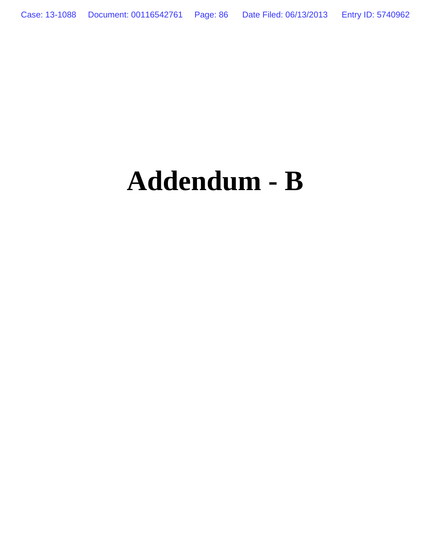# **Addendum - B**